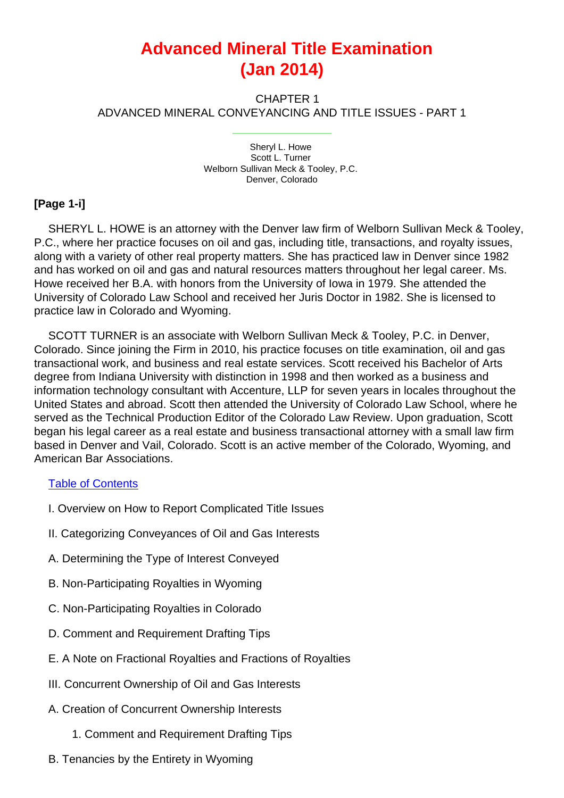# **Advanced Mineral Title Examination (Jan 2014)**

CHAPTER 1 ADVANCED MINERAL CONVEYANCING AND TITLE ISSUES - PART 1

> Sheryl L. Howe Scott L. Turner Welborn Sullivan Meck & Tooley, P.C. Denver, Colorado

#### **[Page 1-i]**

SHERYL L. HOWE is an attorney with the Denver law firm of Welborn Sullivan Meck & Tooley, P.C., where her practice focuses on oil and gas, including title, transactions, and royalty issues, along with a variety of other real property matters. She has practiced law in Denver since 1982 and has worked on oil and gas and natural resources matters throughout her legal career. Ms. Howe received her B.A. with honors from the University of Iowa in 1979. She attended the University of Colorado Law School and received her Juris Doctor in 1982. She is licensed to practice law in Colorado and Wyoming.

SCOTT TURNER is an associate with Welborn Sullivan Meck & Tooley, P.C. in Denver, Colorado. Since joining the Firm in 2010, his practice focuses on title examination, oil and gas transactional work, and business and real estate services. Scott received his Bachelor of Arts degree from Indiana University with distinction in 1998 and then worked as a business and information technology consultant with Accenture, LLP for seven years in locales throughout the United States and abroad. Scott then attended the University of Colorado Law School, where he served as the Technical Production Editor of the Colorado Law Review. Upon graduation, Scott began his legal career as a real estate and business transactional attorney with a small law firm based in Denver and Vail, Colorado. Scott is an active member of the Colorado, Wyoming, and American Bar Associations.

#### Table of Contents

- I. Overview on How to Report Complicated Title Issues
- II. Categorizing Conveyances of Oil and Gas Interests
- A. Determining the Type of Interest Conveyed
- B. Non-Participating Royalties in Wyoming
- C. Non-Participating Royalties in Colorado
- D. Comment and Requirement Drafting Tips
- E. A Note on Fractional Royalties and Fractions of Royalties
- III. Concurrent Ownership of Oil and Gas Interests
- A. Creation of Concurrent Ownership Interests
	- 1. Comment and Requirement Drafting Tips
- B. Tenancies by the Entirety in Wyoming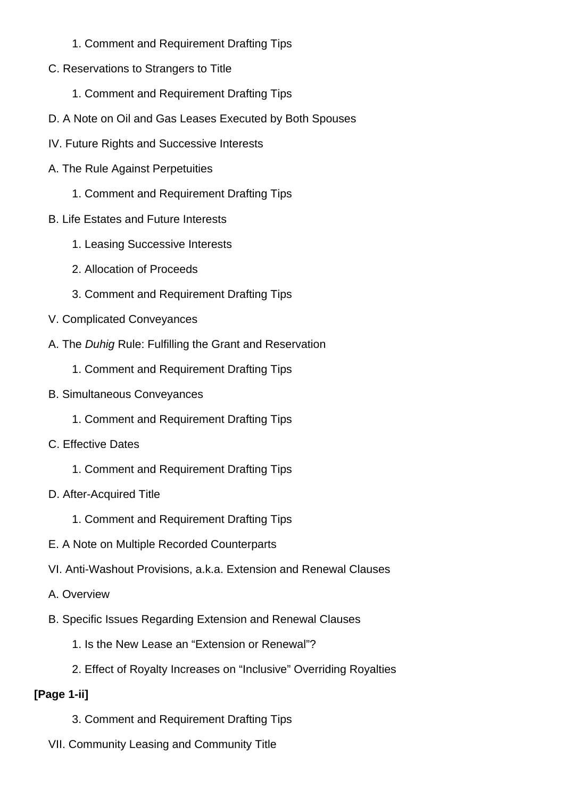- 1. Comment and Requirement Drafting Tips
- C. Reservations to Strangers to Title
	- 1. Comment and Requirement Drafting Tips
- D. A Note on Oil and Gas Leases Executed by Both Spouses
- IV. Future Rights and Successive Interests
- A. The Rule Against Perpetuities
	- 1. Comment and Requirement Drafting Tips
- B. Life Estates and Future Interests
	- 1. Leasing Successive Interests
	- 2. Allocation of Proceeds
	- 3. Comment and Requirement Drafting Tips
- V. Complicated Conveyances
- A. The Duhig Rule: Fulfilling the Grant and Reservation
	- 1. Comment and Requirement Drafting Tips
- B. Simultaneous Conveyances
	- 1. Comment and Requirement Drafting Tips
- C. Effective Dates
	- 1. Comment and Requirement Drafting Tips
- D. After-Acquired Title
	- 1. Comment and Requirement Drafting Tips
- E. A Note on Multiple Recorded Counterparts
- VI. Anti-Washout Provisions, a.k.a. Extension and Renewal Clauses
- A. Overview
- B. Specific Issues Regarding Extension and Renewal Clauses
	- 1. Is the New Lease an "Extension or Renewal"?
	- 2. Effect of Royalty Increases on "Inclusive" Overriding Royalties

# **[Page 1-ii]**

- 3. Comment and Requirement Drafting Tips
- VII. Community Leasing and Community Title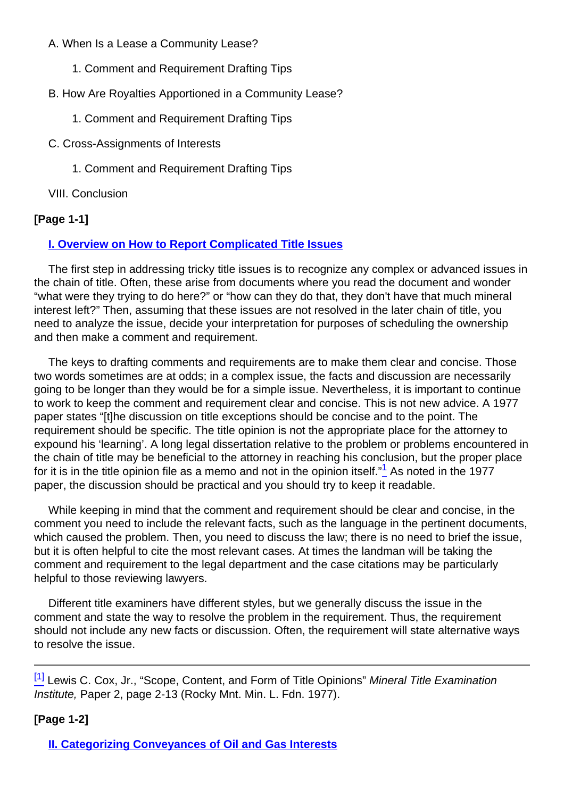#### A. When Is a Lease a Community Lease?

- 1. Comment and Requirement Drafting Tips
- B. How Are Royalties Apportioned in a Community Lease?
	- 1. Comment and Requirement Drafting Tips
- C. Cross-Assignments of Interests
	- 1. Comment and Requirement Drafting Tips

VIII. Conclusion

# **[Page 1-1]**

# **I. Overview on How to Report Complicated Title Issues**

The first step in addressing tricky title issues is to recognize any complex or advanced issues in the chain of title. Often, these arise from documents where you read the document and wonder "what were they trying to do here?" or "how can they do that, they don't have that much mineral interest left?" Then, assuming that these issues are not resolved in the later chain of title, you need to analyze the issue, decide your interpretation for purposes of scheduling the ownership and then make a comment and requirement.

The keys to drafting comments and requirements are to make them clear and concise. Those two words sometimes are at odds; in a complex issue, the facts and discussion are necessarily going to be longer than they would be for a simple issue. Nevertheless, it is important to continue to work to keep the comment and requirement clear and concise. This is not new advice. A 1977 paper states "[t]he discussion on title exceptions should be concise and to the point. The requirement should be specific. The title opinion is not the appropriate place for the attorney to expound his 'learning'. A long legal dissertation relative to the problem or problems encountered in the chain of title may be beneficial to the attorney in reaching his conclusion, but the proper place for it is in the title opinion file as a memo and not in the opinion itself."<sup>1</sup> As noted in the 1977 paper, the discussion should be practical and you should try to keep it readable.

<span id="page-2-0"></span>While keeping in mind that the comment and requirement should be clear and concise, in the comment you need to include the relevant facts, such as the language in the pertinent documents, which caused the problem. Then, you need to discuss the law; there is no need to brief the issue, but it is often helpful to cite the most relevant cases. At times the landman will be taking the comment and requirement to the legal department and the case citations may be particularly helpful to those reviewing lawyers.

Different title examiners have different styles, but we generally discuss the issue in the comment and state the way to resolve the problem in the requirement. Thus, the requirement should not include any new facts or discussion. Often, the requirement will state alternative ways to resolve the issue.

<sup>[\[1\]](#page-2-0)</sup> Lewis C. Cox, Jr., "Scope, Content, and Form of Title Opinions" Mineral Title Examination Institute, Paper 2, page 2-13 (Rocky Mnt. Min. L. Fdn. 1977).

# **[Page 1-2]**

**II. Categorizing Conveyances of Oil and Gas Interests**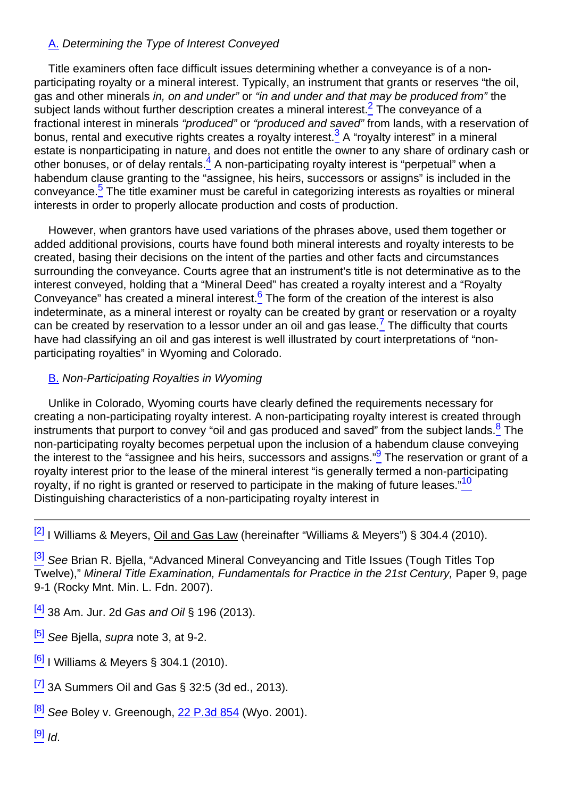#### A. Determining the Type of Interest Conveyed

<span id="page-3-1"></span><span id="page-3-0"></span>Title examiners often face difficult issues determining whether a conveyance is of a nonparticipating royalty or a mineral interest. Typically, an instrument that grants or reserves "the oil, gas and other minerals in, on and under" or "in and under and that may be produced from" the subject lands without further description creates a mineral interest.<sup>2</sup> The conveyance of a fractional interest in minerals "produced" or "produced and saved" from lands, with a reservation of bonus, rental and executive rights creates a royalty interest.<sup>3</sup> A "royalty interest" in a mineral estate is nonparticipating in nature, and does not entitle the owner to any share of ordinary cash or other bonuses, or of delay rentals. $^{4}$  A non-participating royalty interest is "perpetual" when a habendum clause granting to the "assignee, his heirs, successors or assigns" is included in the conveyance.<sup>5</sup> The title examiner must be careful in categorizing interests as royalties or mineral interests in order to properly allocate production and costs of production.

<span id="page-3-4"></span><span id="page-3-3"></span><span id="page-3-2"></span>However, when grantors have used variations of the phrases above, used them together or added additional provisions, courts have found both mineral interests and royalty interests to be created, basing their decisions on the intent of the parties and other facts and circumstances surrounding the conveyance. Courts agree that an instrument's title is not determinative as to the interest conveyed, holding that a "Mineral Deed" has created a royalty interest and a "Royalty Conveyance" has created a mineral interest. $6$  The form of the creation of the interest is also indeterminate, as a mineral interest or royalty can be created by grant or reservation or a royalty can be created by reservation to a lessor under an oil and gas lease.<sup>7</sup> The difficulty that courts have had classifying an oil and gas interest is well illustrated by court interpretations of "nonparticipating royalties" in Wyoming and Colorado.

#### <span id="page-3-5"></span>B. Non-Participating Royalties in Wyoming

<span id="page-3-7"></span><span id="page-3-6"></span>Unlike in Colorado, Wyoming courts have clearly defined the requirements necessary for creating a non-participating royalty interest. A non-participating royalty interest is created through instruments that purport to convey "oil and gas produced and saved" from the subject lands.  $8\bar{ }$  The non-participating royalty becomes perpetual upon the inclusion of a habendum clause conveying the interest to the "assignee and his heirs, successors and assigns."<sup>9</sup> The reservation or grant of a royalty interest prior to the lease of the mineral interest "is generally termed a non-participating royalty, if no right is granted or reserved to participate in the making of future leases."<sup>10</sup> Distinguishing characteristics of a non-participating royalty interest in

<span id="page-3-8"></span> $\frac{[2]}{[2]}$  $\frac{[2]}{[2]}$  $\frac{[2]}{[2]}$  I Williams & Meyers, Oil and Gas Law (hereinafter "Williams & Meyers") § 304.4 (2010).

<sup>[\[3\]](#page-3-1)</sup> See Brian R. Biella, "Advanced Mineral Conveyancing and Title Issues (Tough Titles Top Twelve)," Mineral Title Examination, Fundamentals for Practice in the 21st Century, Paper 9, page 9-1 (Rocky Mnt. Min. L. Fdn. 2007).

 $^{[4]}$  $^{[4]}$  $^{[4]}$  38 Am. Jur. 2d Gas and Oil § 196 (2013).

 $[5]$  See Bjella, supra note 3, at 9-2.

 $^{[6]}$  $^{[6]}$  $^{[6]}$  I Williams & Meyers § 304.1 (2010).

 $^{[7]}$  $^{[7]}$  $^{[7]}$  3A Summers Oil and Gas § 32:5 (3d ed., 2013).

 $^{[8]}$  $^{[8]}$  $^{[8]}$  See Boley v. Greenough, [22 P.3d 854](http://links.casemakerlegal.com/books/Case_Law/results?ci=45ampsearch[Cite]=22+P.3d+854ampfn=2014%20Jan%20(Advanced%20Mineral%20Title%20Examination)) (Wyo. 2001).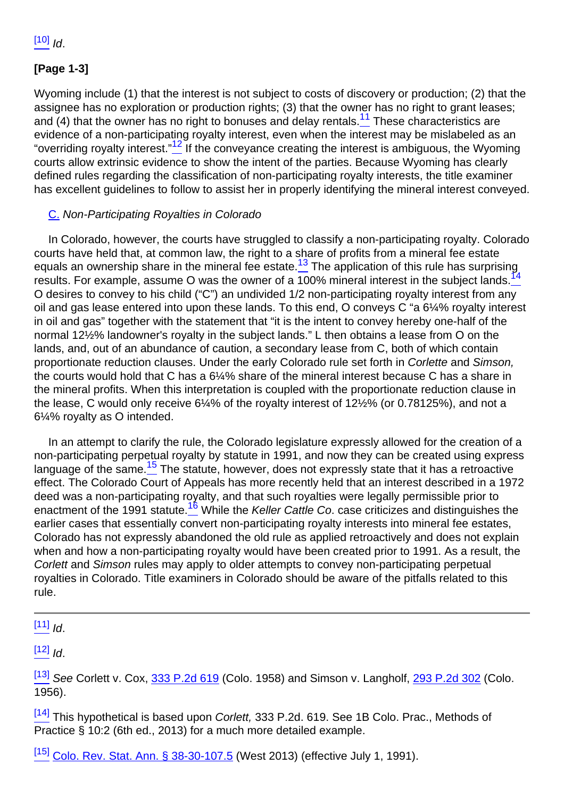# **[Page 1-3]**

<span id="page-4-1"></span><span id="page-4-0"></span>Wyoming include (1) that the interest is not subject to costs of discovery or production; (2) that the assignee has no exploration or production rights; (3) that the owner has no right to grant leases; and  $(4)$  that the owner has no right to bonuses and delay rentals.<sup>11</sup> These characteristics are evidence of a non-participating royalty interest, even when the interest may be mislabeled as an "overriding royalty interest."<sup>12</sup> If the conveyance creating the interest is ambiguous, the Wyoming courts allow extrinsic evidence to show the intent of the parties. Because Wyoming has clearly defined rules regarding the classification of non-participating royalty interests, the title examiner has excellent guidelines to follow to assist her in properly identifying the mineral interest conveyed.

#### C. Non-Participating Royalties in Colorado

<span id="page-4-3"></span><span id="page-4-2"></span>In Colorado, however, the courts have struggled to classify a non-participating royalty. Colorado courts have held that, at common law, the right to a share of profits from a mineral fee estate equals an ownership share in the mineral fee estate. $\frac{13}{2}$  The application of this rule has surprising results. For example, assume O was the owner of a  $100\%$  mineral interest in the subject lands.<sup>14</sup> O desires to convey to his child ("C") an undivided 1/2 non-participating royalty interest from any oil and gas lease entered into upon these lands. To this end, O conveys C "a 6¼% royalty interest in oil and gas" together with the statement that "it is the intent to convey hereby one-half of the normal 12½% landowner's royalty in the subject lands." L then obtains a lease from O on the lands, and, out of an abundance of caution, a secondary lease from C, both of which contain proportionate reduction clauses. Under the early Colorado rule set forth in Corlette and Simson, the courts would hold that C has a 6¼% share of the mineral interest because C has a share in the mineral profits. When this interpretation is coupled with the proportionate reduction clause in the lease, C would only receive 6¼% of the royalty interest of 12½% (or 0.78125%), and not a 6¼% royalty as O intended.

<span id="page-4-5"></span><span id="page-4-4"></span>In an attempt to clarify the rule, the Colorado legislature expressly allowed for the creation of a non-participating perpetual royalty by statute in 1991, and now they can be created using express language of the same. $15$  The statute, however, does not expressly state that it has a retroactive effect. The Colorado Court of Appeals has more recently held that an interest described in a 1972 deed was a non-participating royalty, and that such royalties were legally permissible prior to enactment of the 1991 statute.<sup>16</sup> While the Keller Cattle Co. case criticizes and distinguishes the earlier cases that essentially convert non-participating royalty interests into mineral fee estates, Colorado has not expressly abandoned the old rule as applied retroactively and does not explain when and how a non-participating royalty would have been created prior to 1991. As a result, the Corlett and Simson rules may apply to older attempts to convey non-participating perpetual royalties in Colorado. Title examiners in Colorado should be aware of the pitfalls related to this rule.

 $[11]$  Id.

 $[12]$  Id.

[\[13\]](#page-4-2) See Corlett v. Cox, [333 P.2d 619](http://links.casemakerlegal.com/books/Case_Law/results?ci=45ampsearch[Cite]=333+P.2d+619ampfn=2014%20Jan%20(Advanced%20Mineral%20Title%20Examination)) (Colo. 1958) and Simson v. Langholf, [293 P.2d 302](http://links.casemakerlegal.com/books/Case_Law/results?ci=45ampsearch[Cite]=293+P.2d+302ampfn=2014%20Jan%20(Advanced%20Mineral%20Title%20Examination)) (Colo. 1956).

 $\frac{[14]}{[14]}$  $\frac{[14]}{[14]}$  $\frac{[14]}{[14]}$  This hypothetical is based upon *Corlett*, 333 P.2d. 619. See 1B Colo. Prac., Methods of Practice § 10:2 (6th ed., 2013) for a much more detailed example.

[\[15\]](#page-4-4) [Colo. Rev. Stat. Ann. § 38-30-107.5](http://links.casemakerlegal.com/states/CO/books/Statutes/browse?ci=45ampcodesec=38-30-107.5ampTitle=38ampfn=2014%20Jan%20(Advanced%20Mineral%20Title%20Examination)) (West 2013) (effective July 1, 1991).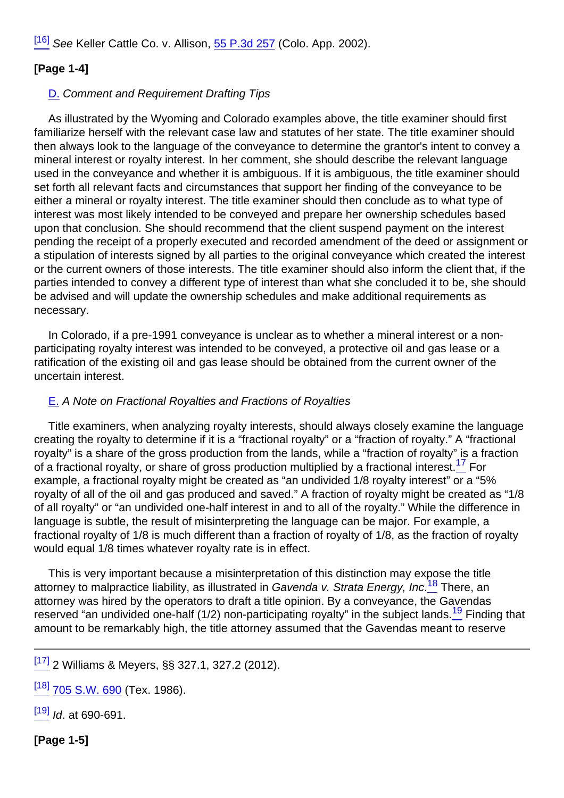<sup>[\[16\]](#page-4-5)</sup> See Keller Cattle Co. v. Allison, [55 P.3d 257](http://links.casemakerlegal.com/books/Case_Law/results?ci=45ampsearch[Cite]=55+P.3d+257ampfn=2014%20Jan%20(Advanced%20Mineral%20Title%20Examination)) (Colo. App. 2002).

# **[Page 1-4]**

### D. Comment and Requirement Drafting Tips

As illustrated by the Wyoming and Colorado examples above, the title examiner should first familiarize herself with the relevant case law and statutes of her state. The title examiner should then always look to the language of the conveyance to determine the grantor's intent to convey a mineral interest or royalty interest. In her comment, she should describe the relevant language used in the conveyance and whether it is ambiguous. If it is ambiguous, the title examiner should set forth all relevant facts and circumstances that support her finding of the conveyance to be either a mineral or royalty interest. The title examiner should then conclude as to what type of interest was most likely intended to be conveyed and prepare her ownership schedules based upon that conclusion. She should recommend that the client suspend payment on the interest pending the receipt of a properly executed and recorded amendment of the deed or assignment or a stipulation of interests signed by all parties to the original conveyance which created the interest or the current owners of those interests. The title examiner should also inform the client that, if the parties intended to convey a different type of interest than what she concluded it to be, she should be advised and will update the ownership schedules and make additional requirements as necessary.

In Colorado, if a pre-1991 conveyance is unclear as to whether a mineral interest or a nonparticipating royalty interest was intended to be conveyed, a protective oil and gas lease or a ratification of the existing oil and gas lease should be obtained from the current owner of the uncertain interest.

#### E. A Note on Fractional Royalties and Fractions of Royalties

<span id="page-5-0"></span>Title examiners, when analyzing royalty interests, should always closely examine the language creating the royalty to determine if it is a "fractional royalty" or a "fraction of royalty." A "fractional royalty" is a share of the gross production from the lands, while a "fraction of royalty" is a fraction of a fractional royalty, or share of gross production multiplied by a fractional interest.<sup>17</sup> For example, a fractional royalty might be created as "an undivided 1/8 royalty interest" or a "5% royalty of all of the oil and gas produced and saved." A fraction of royalty might be created as "1/8 of all royalty" or "an undivided one-half interest in and to all of the royalty." While the difference in language is subtle, the result of misinterpreting the language can be major. For example, a fractional royalty of 1/8 is much different than a fraction of royalty of 1/8, as the fraction of royalty would equal 1/8 times whatever royalty rate is in effect.

<span id="page-5-2"></span><span id="page-5-1"></span>This is very important because a misinterpretation of this distinction may expose the title attorney to malpractice liability, as illustrated in Gavenda v. Strata Energy, Inc.<sup>18</sup> There, an attorney was hired by the operators to draft a title opinion. By a conveyance, the Gavendas reserved "an undivided one-half (1/2) non-participating royalty" in the subject lands.<sup>19</sup> Finding that amount to be remarkably high, the title attorney assumed that the Gavendas meant to reserve

 $\frac{[17]}{[17]}$  $\frac{[17]}{[17]}$  $\frac{[17]}{[17]}$  2 Williams & Meyers, §§ 327.1, 327.2 (2012).

<sup>[\[18\]](#page-5-1)</sup> [705 S.W. 690](http://links.casemakerlegal.com/books/Case_Law/results?ci=45ampsearch[Cite]=705+S.W.+690ampfn=2014%20Jan%20(Advanced%20Mineral%20Title%20Examination)) (Tex. 1986).

 $[19]$  *Id.* at 690-691.

**[Page 1-5]**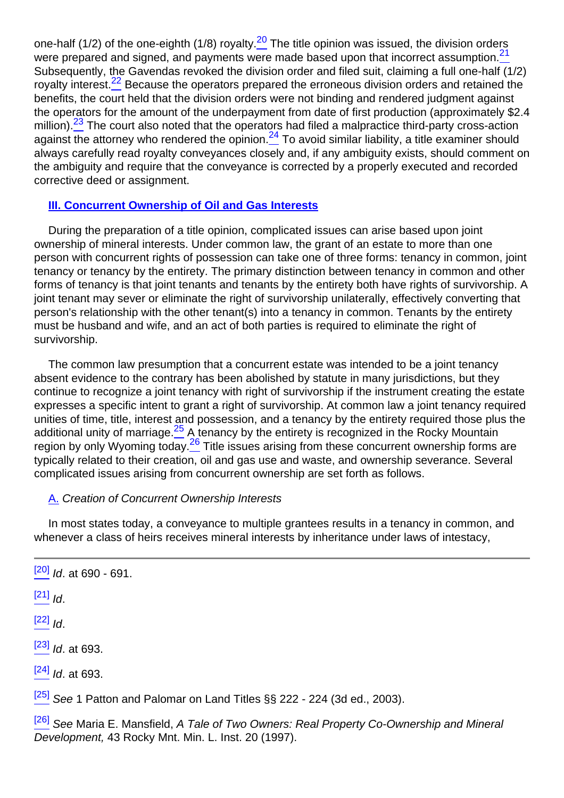<span id="page-6-3"></span><span id="page-6-2"></span><span id="page-6-1"></span><span id="page-6-0"></span>one-half (1/2) of the one-eighth (1/8) royalty.<sup>20</sup> The title opinion was issued, the division orders were prepared and signed, and payments were made based upon that incorrect assumption.<sup>21</sup> Subsequently, the Gavendas revoked the division order and filed suit, claiming a full one-half (1/2) royalty interest.<sup>22</sup> Because the operators prepared the erroneous division orders and retained the benefits, the court held that the division orders were not binding and rendered judgment against the operators for the amount of the underpayment from date of first production (approximately \$2.4 million).<sup>23</sup> The court also noted that the operators had filed a malpractice third-party cross-action against the attorney who rendered the opinion.<sup>24</sup> To avoid similar liability, a title examiner should always carefully read royalty conveyances closely and, if any ambiguity exists, should comment on the ambiguity and require that the conveyance is corrected by a properly executed and recorded corrective deed or assignment.

#### <span id="page-6-4"></span>**III. Concurrent Ownership of Oil and Gas Interests**

During the preparation of a title opinion, complicated issues can arise based upon joint ownership of mineral interests. Under common law, the grant of an estate to more than one person with concurrent rights of possession can take one of three forms: tenancy in common, joint tenancy or tenancy by the entirety. The primary distinction between tenancy in common and other forms of tenancy is that joint tenants and tenants by the entirety both have rights of survivorship. A joint tenant may sever or eliminate the right of survivorship unilaterally, effectively converting that person's relationship with the other tenant(s) into a tenancy in common. Tenants by the entirety must be husband and wife, and an act of both parties is required to eliminate the right of survivorship.

<span id="page-6-5"></span>The common law presumption that a concurrent estate was intended to be a joint tenancy absent evidence to the contrary has been abolished by statute in many jurisdictions, but they continue to recognize a joint tenancy with right of survivorship if the instrument creating the estate expresses a specific intent to grant a right of survivorship. At common law a joint tenancy required unities of time, title, interest and possession, and a tenancy by the entirety required those plus the additional unity of marriage. $25$  A tenancy by the entirety is recognized in the Rocky Mountain region by only Wyoming today.<sup>26</sup> Title issues arising from these concurrent ownership forms are typically related to their creation, oil and gas use and waste, and ownership severance. Several complicated issues arising from concurrent ownership are set forth as follows.

#### <span id="page-6-6"></span>A. Creation of Concurrent Ownership Interests

In most states today, a conveyance to multiple grantees results in a tenancy in common, and whenever a class of heirs receives mineral interests by inheritance under laws of intestacy,

 $\frac{[20]}{[20]}$  $\frac{[20]}{[20]}$  $\frac{[20]}{[20]}$  *Id.* at 690 - 691.

 $[21]$   $\overline{1}$ 

 $[22]$   $\overline{1}$ 

 $[23]$  *Id.* at 693.

 $[24]$  *Id.* at 693.

 $[25]$  See 1 Patton and Palomar on Land Titles §§ 222 - 224 (3d ed., 2003).

<sup>[\[26\]](#page-6-6)</sup> See Maria E. Mansfield, A Tale of Two Owners: Real Property Co-Ownership and Mineral Development, 43 Rocky Mnt. Min. L. Inst. 20 (1997).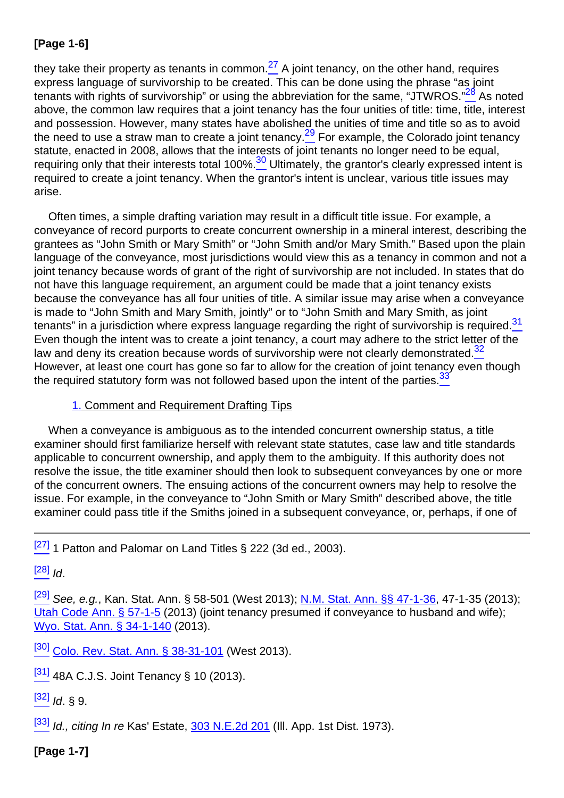# **[Page 1-6]**

<span id="page-7-2"></span><span id="page-7-1"></span><span id="page-7-0"></span>they take their property as tenants in common.<sup>27</sup> A joint tenancy, on the other hand, requires express language of survivorship to be created. This can be done using the phrase "as joint tenants with rights of survivorship" or using the abbreviation for the same, "JTWROS." $\frac{28}{3}$  As noted above, the common law requires that a joint tenancy has the four unities of title: time, title, interest and possession. However, many states have abolished the unities of time and title so as to avoid the need to use a straw man to create a joint tenancy.<sup>29</sup> For example, the Colorado joint tenancy statute, enacted in 2008, allows that the interests of joint tenants no longer need to be equal, requiring only that their interests total 100%.<sup>30</sup> Ultimately, the grantor's clearly expressed intent is required to create a joint tenancy. When the grantor's intent is unclear, various title issues may arise.

<span id="page-7-4"></span><span id="page-7-3"></span>Often times, a simple drafting variation may result in a difficult title issue. For example, a conveyance of record purports to create concurrent ownership in a mineral interest, describing the grantees as "John Smith or Mary Smith" or "John Smith and/or Mary Smith." Based upon the plain language of the conveyance, most jurisdictions would view this as a tenancy in common and not a joint tenancy because words of grant of the right of survivorship are not included. In states that do not have this language requirement, an argument could be made that a joint tenancy exists because the conveyance has all four unities of title. A similar issue may arise when a conveyance is made to "John Smith and Mary Smith, jointly" or to "John Smith and Mary Smith, as joint tenants" in a jurisdiction where express language regarding the right of survivorship is required. $\frac{31}{2}$ Even though the intent was to create a joint tenancy, a court may adhere to the strict letter of the law and deny its creation because words of survivorship were not clearly demonstrated.<sup>32</sup> However, at least one court has gone so far to allow for the creation of joint tenancy even though the required statutory form was not followed based upon the intent of the parties. $33$ 

#### <span id="page-7-5"></span>1. Comment and Requirement Drafting Tips

<span id="page-7-6"></span>When a conveyance is ambiguous as to the intended concurrent ownership status, a title examiner should first familiarize herself with relevant state statutes, case law and title standards applicable to concurrent ownership, and apply them to the ambiguity. If this authority does not resolve the issue, the title examiner should then look to subsequent conveyances by one or more of the concurrent owners. The ensuing actions of the concurrent owners may help to resolve the issue. For example, in the conveyance to "John Smith or Mary Smith" described above, the title examiner could pass title if the Smiths joined in a subsequent conveyance, or, perhaps, if one of

<sup>[\[27\]](#page-7-0)</sup> 1 Patton and Palomar on Land Titles § 222 (3d ed., 2003).

 $[28]$   $Id.$ 

[\[29\]](#page-7-2) See. e.g., Kan. Stat. Ann. § 58-501 (West 2013); [N.M. Stat. Ann. §§ 47-1-36,](http://links.casemakerlegal.com/states/NM/books/Statutes/browse?codesec=47-1-36ampci=45amptitle=47ampfn=2014%20Jan%20(Advanced%20Mineral%20Title%20Examination)) 47-1-35 (2013); [Utah Code Ann. § 57-1-5](http://links.casemakerlegal.com/states/UT/books/Code/browse?ci=45ampcodesec=57-1-5ampTitle=57ampfn=2014%20Jan%20(Advanced%20Mineral%20Title%20Examination)) (2013) (joint tenancy presumed if conveyance to husband and wife); [Wyo. Stat. Ann. § 34-1-140](http://links.casemakerlegal.com/states/WY/books/Statutes/browse?codesec=34-1-140ampci=45amptitle=34ampfn=2014%20Jan%20(Advanced%20Mineral%20Title%20Examination)) (2013).

[\[30\]](#page-7-3) [Colo. Rev. Stat. Ann. § 38-31-101](http://links.casemakerlegal.com/states/CO/books/Statutes/browse?ci=45ampcodesec=38-31-101ampTitle=38ampfn=2014%20Jan%20(Advanced%20Mineral%20Title%20Examination)) (West 2013).

 $\frac{[31]}{[31]}$  $\frac{[31]}{[31]}$  $\frac{[31]}{[31]}$  48A C.J.S. Joint Tenancy § 10 (2013).

 $[32]$  Id.  $\&$  9.

[\[33\]](#page-7-6) Id., citing In re Kas' Estate, [303 N.E.2d 201](http://links.casemakerlegal.com/books/Case_Law/results?ci=45ampsearch[Cite]=303+N.E.2d+201ampfn=2014%20Jan%20(Advanced%20Mineral%20Title%20Examination)) (III. App. 1st Dist. 1973).

**[Page 1-7]**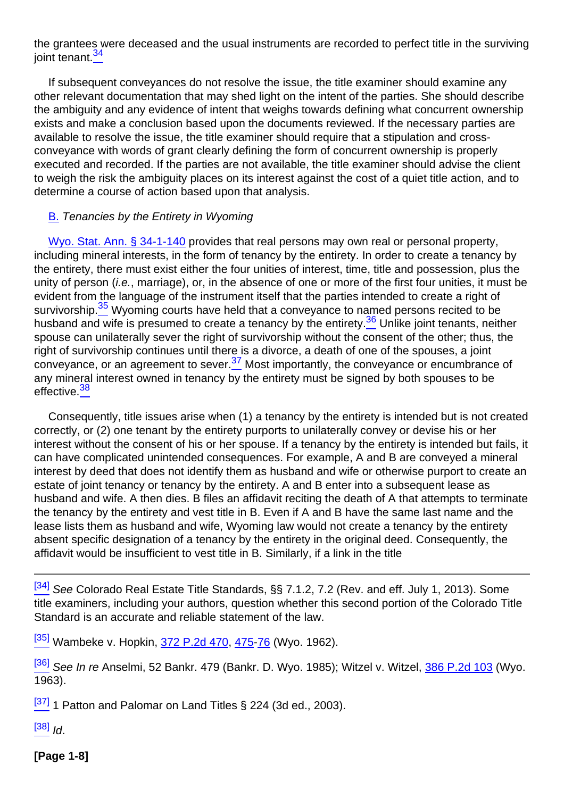<span id="page-8-0"></span>the grantees were deceased and the usual instruments are recorded to perfect title in the surviving joint tenant.<sup>34</sup>

If subsequent conveyances do not resolve the issue, the title examiner should examine any other relevant documentation that may shed light on the intent of the parties. She should describe the ambiguity and any evidence of intent that weighs towards defining what concurrent ownership exists and make a conclusion based upon the documents reviewed. If the necessary parties are available to resolve the issue, the title examiner should require that a stipulation and crossconveyance with words of grant clearly defining the form of concurrent ownership is properly executed and recorded. If the parties are not available, the title examiner should advise the client to weigh the risk the ambiguity places on its interest against the cost of a quiet title action, and to determine a course of action based upon that analysis.

#### **B.** Tenancies by the Entirety in Wyoming

<span id="page-8-2"></span><span id="page-8-1"></span>[Wyo. Stat. Ann. § 34-1-140](http://links.casemakerlegal.com/states/WY/books/Statutes/browse?codesec=34-1-140ampci=45amptitle=34ampfn=2014%20Jan%20(Advanced%20Mineral%20Title%20Examination)) provides that real persons may own real or personal property, including mineral interests, in the form of tenancy by the entirety. In order to create a tenancy by the entirety, there must exist either the four unities of interest, time, title and possession, plus the unity of person *(i.e., marriage), or, in the absence of one or more of the first four unities, it must be* evident from the language of the instrument itself that the parties intended to create a right of survivorship.<sup>35</sup> Wyoming courts have held that a conveyance to named persons recited to be husband and wife is presumed to create a tenancy by the entirety.<sup>36</sup> Unlike joint tenants, neither spouse can unilaterally sever the right of survivorship without the consent of the other; thus, the right of survivorship continues until there is a divorce, a death of one of the spouses, a joint conveyance, or an agreement to sever.<sup>37</sup> Most importantly, the conveyance or encumbrance of any mineral interest owned in tenancy by the entirety must be signed by both spouses to be effective.<sup>38</sup>

<span id="page-8-4"></span><span id="page-8-3"></span>Consequently, title issues arise when (1) a tenancy by the entirety is intended but is not created correctly, or (2) one tenant by the entirety purports to unilaterally convey or devise his or her interest without the consent of his or her spouse. If a tenancy by the entirety is intended but fails, it can have complicated unintended consequences. For example, A and B are conveyed a mineral interest by deed that does not identify them as husband and wife or otherwise purport to create an estate of joint tenancy or tenancy by the entirety. A and B enter into a subsequent lease as husband and wife. A then dies. B files an affidavit reciting the death of A that attempts to terminate the tenancy by the entirety and vest title in B. Even if A and B have the same last name and the lease lists them as husband and wife, Wyoming law would not create a tenancy by the entirety absent specific designation of a tenancy by the entirety in the original deed. Consequently, the affidavit would be insufficient to vest title in B. Similarly, if a link in the title

[\[34\]](#page-8-0) See Colorado Real Estate Title Standards, §§ 7.1.2, 7.2 (Rev. and eff. July 1, 2013). Some title examiners, including your authors, question whether this second portion of the Colorado Title Standard is an accurate and reliable statement of the law.

<sup>[\[35\]](#page-8-1)</sup> Wambeke v. Hopkin, [372 P.2d 470](http://links.casemakerlegal.com/books/Case_Law/results?ci=45ampsearch[Cite]=372+P.2d+470ampfn=2014%20Jan%20(Advanced%20Mineral%20Title%20Examination)), [475-](http://links.casemakerlegal.com/books/Case_Law/results?ci=45ampsearch[Cite]=372+P.2d+475#page475ampfn=2014%20Jan%20(Advanced%20Mineral%20Title%20Examination))[76](http://links.casemakerlegal.com/books/Case_Law/results?ci=45ampsearch[Cite]=372+P.2d+476#page476ampfn=2014%20Jan%20(Advanced%20Mineral%20Title%20Examination)) (Wyo. 1962).

<sup>[\[36\]](#page-8-2)</sup> See In re Anselmi, 52 Bankr. 479 (Bankr. D. Wyo. 1985); Witzel v. Witzel, [386 P.2d 103](http://links.casemakerlegal.com/books/Case_Law/results?ci=45ampsearch[Cite]=386+P.2d+103ampfn=2014%20Jan%20(Advanced%20Mineral%20Title%20Examination)) (Wyo. 1963).

 $\frac{[37]}{[37]}$  $\frac{[37]}{[37]}$  $\frac{[37]}{[37]}$  1 Patton and Palomar on Land Titles § 224 (3d ed., 2003).

 $[38]$   $\frac{1}{d}$ .

**[Page 1-8]**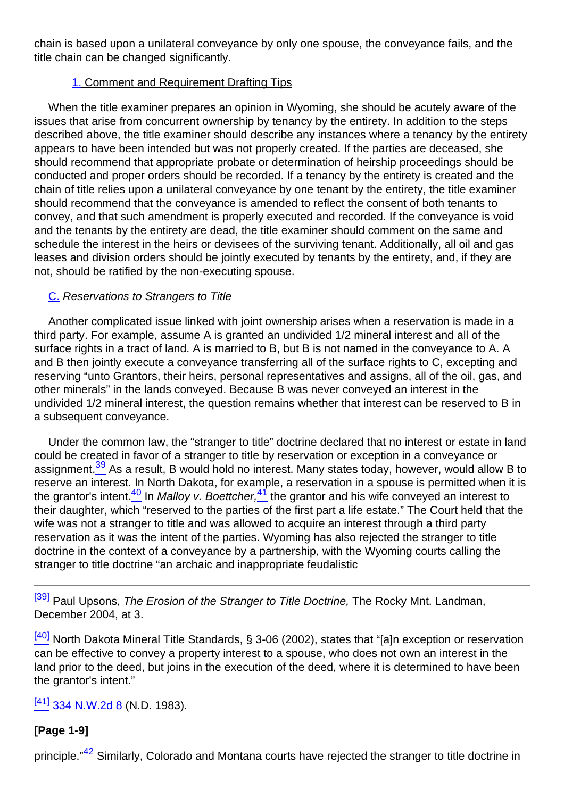chain is based upon a unilateral conveyance by only one spouse, the conveyance fails, and the title chain can be changed significantly.

#### 1. Comment and Requirement Drafting Tips

When the title examiner prepares an opinion in Wyoming, she should be acutely aware of the issues that arise from concurrent ownership by tenancy by the entirety. In addition to the steps described above, the title examiner should describe any instances where a tenancy by the entirety appears to have been intended but was not properly created. If the parties are deceased, she should recommend that appropriate probate or determination of heirship proceedings should be conducted and proper orders should be recorded. If a tenancy by the entirety is created and the chain of title relies upon a unilateral conveyance by one tenant by the entirety, the title examiner should recommend that the conveyance is amended to reflect the consent of both tenants to convey, and that such amendment is properly executed and recorded. If the conveyance is void and the tenants by the entirety are dead, the title examiner should comment on the same and schedule the interest in the heirs or devisees of the surviving tenant. Additionally, all oil and gas leases and division orders should be jointly executed by tenants by the entirety, and, if they are not, should be ratified by the non-executing spouse.

#### C. Reservations to Strangers to Title

Another complicated issue linked with joint ownership arises when a reservation is made in a third party. For example, assume A is granted an undivided 1/2 mineral interest and all of the surface rights in a tract of land. A is married to B, but B is not named in the conveyance to A. A and B then jointly execute a conveyance transferring all of the surface rights to C, excepting and reserving "unto Grantors, their heirs, personal representatives and assigns, all of the oil, gas, and other minerals" in the lands conveyed. Because B was never conveyed an interest in the undivided 1/2 mineral interest, the question remains whether that interest can be reserved to B in a subsequent conveyance.

<span id="page-9-1"></span><span id="page-9-0"></span>Under the common law, the "stranger to title" doctrine declared that no interest or estate in land could be created in favor of a stranger to title by reservation or exception in a conveyance or assignment.<sup>39</sup> As a result, B would hold no interest. Many states today, however, would allow B to reserve an interest. In North Dakota, for example, a reservation in a spouse is permitted when it is the grantor's intent. $\frac{40}{2}$  In Malloy v. Boettcher, $\frac{41}{2}$  the grantor and his wife conveyed an interest to their daughter, which "reserved to the parties of the first part a life estate." The Court held that the wife was not a stranger to title and was allowed to acquire an interest through a third party reservation as it was the intent of the parties. Wyoming has also rejected the stranger to title doctrine in the context of a conveyance by a partnership, with the Wyoming courts calling the stranger to title doctrine "an archaic and inappropriate feudalistic

<sup>[\[39\]](#page-9-0)</sup> Paul Upsons, *The Erosion of the Stranger to Title Doctrine*, The Rocky Mnt. Landman, December 2004, at 3.

 $[40]$  North Dakota Mineral Title Standards, § 3-06 (2002), states that "[a]n exception or reservation can be effective to convey a property interest to a spouse, who does not own an interest in the land prior to the deed, but joins in the execution of the deed, where it is determined to have been the grantor's intent."

 $\frac{[41]}{334}$  $\frac{[41]}{334}$  $\frac{[41]}{334}$  N.W.2d 8 (N.D. 1983).

# **[Page 1-9]**

<span id="page-9-2"></span>principle."<sup>42</sup> Similarly, Colorado and Montana courts have rejected the stranger to title doctrine in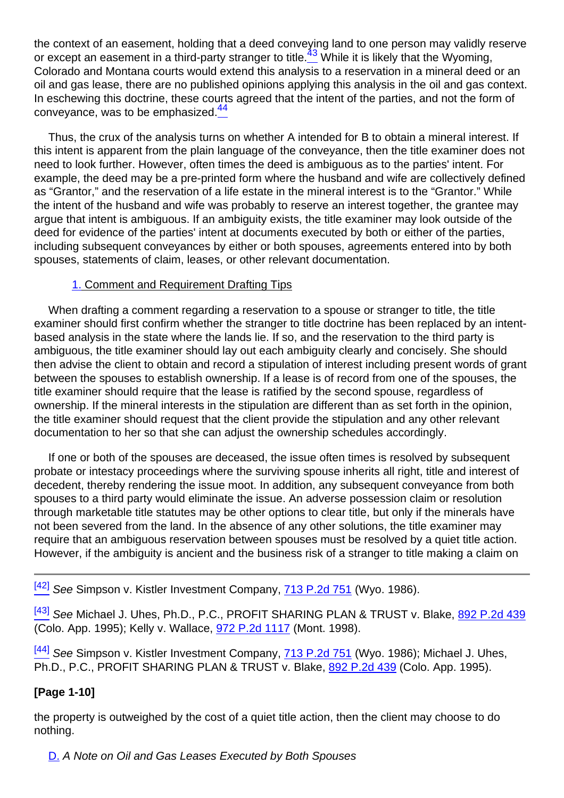<span id="page-10-0"></span>the context of an easement, holding that a deed conveying land to one person may validly reserve or except an easement in a third-party stranger to title.<sup>43</sup> While it is likely that the Wyoming, Colorado and Montana courts would extend this analysis to a reservation in a mineral deed or an oil and gas lease, there are no published opinions applying this analysis in the oil and gas context. In eschewing this doctrine, these courts agreed that the intent of the parties, and not the form of conveyance, was to be emphasized.<sup>44</sup>

<span id="page-10-1"></span>Thus, the crux of the analysis turns on whether A intended for B to obtain a mineral interest. If this intent is apparent from the plain language of the conveyance, then the title examiner does not need to look further. However, often times the deed is ambiguous as to the parties' intent. For example, the deed may be a pre-printed form where the husband and wife are collectively defined as "Grantor," and the reservation of a life estate in the mineral interest is to the "Grantor." While the intent of the husband and wife was probably to reserve an interest together, the grantee may argue that intent is ambiguous. If an ambiguity exists, the title examiner may look outside of the deed for evidence of the parties' intent at documents executed by both or either of the parties, including subsequent conveyances by either or both spouses, agreements entered into by both spouses, statements of claim, leases, or other relevant documentation.

#### 1. Comment and Requirement Drafting Tips

When drafting a comment regarding a reservation to a spouse or stranger to title, the title examiner should first confirm whether the stranger to title doctrine has been replaced by an intentbased analysis in the state where the lands lie. If so, and the reservation to the third party is ambiguous, the title examiner should lay out each ambiguity clearly and concisely. She should then advise the client to obtain and record a stipulation of interest including present words of grant between the spouses to establish ownership. If a lease is of record from one of the spouses, the title examiner should require that the lease is ratified by the second spouse, regardless of ownership. If the mineral interests in the stipulation are different than as set forth in the opinion, the title examiner should request that the client provide the stipulation and any other relevant documentation to her so that she can adjust the ownership schedules accordingly.

If one or both of the spouses are deceased, the issue often times is resolved by subsequent probate or intestacy proceedings where the surviving spouse inherits all right, title and interest of decedent, thereby rendering the issue moot. In addition, any subsequent conveyance from both spouses to a third party would eliminate the issue. An adverse possession claim or resolution through marketable title statutes may be other options to clear title, but only if the minerals have not been severed from the land. In the absence of any other solutions, the title examiner may require that an ambiguous reservation between spouses must be resolved by a quiet title action. However, if the ambiguity is ancient and the business risk of a stranger to title making a claim on

<sup>[\[42\]](#page-9-2)</sup> See Simpson v. Kistler Investment Company, **[713 P.2d 751](http://links.casemakerlegal.com/books/Case_Law/results?ci=45ampsearch[Cite]=713+P.2d+751ampfn=2014%20Jan%20(Advanced%20Mineral%20Title%20Examination))** (Wyo. 1986).

 $\frac{[43]}{[43]}$  $\frac{[43]}{[43]}$  $\frac{[43]}{[43]}$  See Michael J. Uhes, Ph.D., P.C., PROFIT SHARING PLAN & TRUST v. Blake,  $\frac{892}{[432]}$ (Colo. App. 1995); Kelly v. Wallace, [972 P.2d 1117](http://links.casemakerlegal.com/books/Case_Law/results?ci=45ampsearch[Cite]=972+P.2d+1117ampfn=2014%20Jan%20(Advanced%20Mineral%20Title%20Examination)) (Mont. 1998).

 $^{[44]}$  $^{[44]}$  $^{[44]}$  See Simpson v. Kistler Investment Company, [713 P.2d 751](http://links.casemakerlegal.com/books/Case_Law/results?ci=45ampsearch[Cite]=713+P.2d+751ampfn=2014%20Jan%20(Advanced%20Mineral%20Title%20Examination)) (Wyo. 1986); Michael J. Uhes, Ph.D., P.C., PROFIT SHARING PLAN & TRUST v. Blake, [892 P.2d 439](http://links.casemakerlegal.com/books/Case_Law/results?ci=45ampsearch[Cite]=892+P.2d+439ampfn=2014%20Jan%20(Advanced%20Mineral%20Title%20Examination)) (Colo. App. 1995).

#### **[Page 1-10]**

the property is outweighed by the cost of a quiet title action, then the client may choose to do nothing.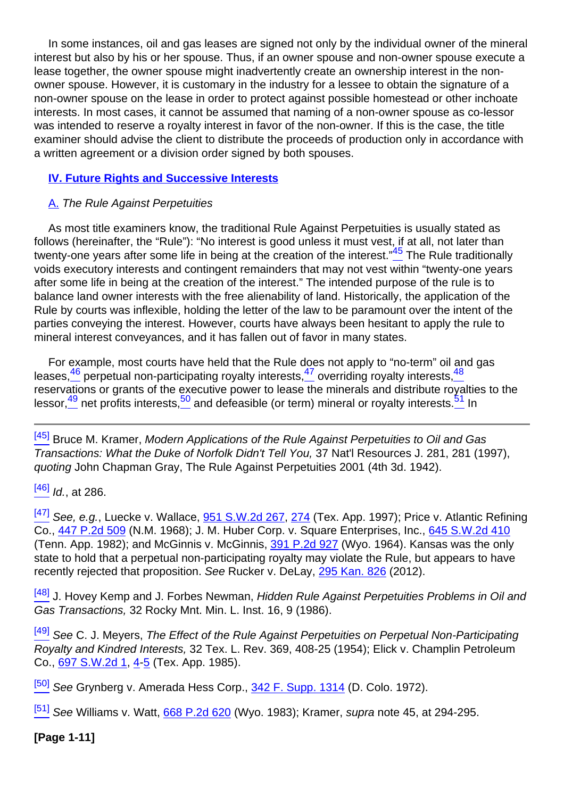In some instances, oil and gas leases are signed not only by the individual owner of the mineral interest but also by his or her spouse. Thus, if an owner spouse and non-owner spouse execute a lease together, the owner spouse might inadvertently create an ownership interest in the nonowner spouse. However, it is customary in the industry for a lessee to obtain the signature of a non-owner spouse on the lease in order to protect against possible homestead or other inchoate interests. In most cases, it cannot be assumed that naming of a non-owner spouse as co-lessor was intended to reserve a royalty interest in favor of the non-owner. If this is the case, the title examiner should advise the client to distribute the proceeds of production only in accordance with a written agreement or a division order signed by both spouses.

#### **IV. Future Rights and Successive Interests**

#### A. The Rule Against Perpetuities

<span id="page-11-0"></span>As most title examiners know, the traditional Rule Against Perpetuities is usually stated as follows (hereinafter, the "Rule"): "No interest is good unless it must vest, if at all, not later than twenty-one years after some life in being at the creation of the interest."<sup>45</sup> The Rule traditionally voids executory interests and contingent remainders that may not vest within "twenty-one years after some life in being at the creation of the interest." The intended purpose of the rule is to balance land owner interests with the free alienability of land. Historically, the application of the Rule by courts was inflexible, holding the letter of the law to be paramount over the intent of the parties conveying the interest. However, courts have always been hesitant to apply the rule to mineral interest conveyances, and it has fallen out of favor in many states.

<span id="page-11-2"></span><span id="page-11-1"></span>For example, most courts have held that the Rule does not apply to "no-term" oil and gas leases, $\frac{46}{2}$  perpetual non-participating royalty interests, $\frac{47}{2}$  overriding royalty interests, $\frac{48}{2}$ reservations or grants of the executive power to lease the minerals and distribute royalties to the lessor, $\frac{49}{2}$  net profits interests, $\frac{50}{2}$  and defeasible (or term) mineral or royalty interests. $\frac{51}{2}$  In

[\[45\]](#page-11-0) Bruce M. Kramer, Modern Applications of the Rule Against Perpetuities to Oil and Gas Transactions: What the Duke of Norfolk Didn't Tell You, 37 Nat'l Resources J. 281, 281 (1997), quoting John Chapman Gray, The Rule Against Perpetuities 2001 (4th 3d. 1942).

 $[46]$  *Id.*, at 286.

[\[47\]](#page-11-1) See, e.g., Luecke v. Wallace, **[951 S.W.2d 267](http://links.casemakerlegal.com/books/Case_Law/results?ci=45ampsearch[Cite]=951+S.W.2d+267ampfn=2014%20Jan%20(Advanced%20Mineral%20Title%20Examination)), [274](http://links.casemakerlegal.com/books/Case_Law/results?ci=45ampsearch[Cite]=951+S.W.2d+274#page274ampfn=2014%20Jan%20(Advanced%20Mineral%20Title%20Examination))** (Tex. App. 1997); Price v. Atlantic Refining Co., [447 P.2d 509](http://links.casemakerlegal.com/books/Case_Law/results?ci=45ampsearch[Cite]=447+P.2d+509ampfn=2014%20Jan%20(Advanced%20Mineral%20Title%20Examination)) (N.M. 1968); J. M. Huber Corp. v. Square Enterprises, Inc., [645 S.W.2d 410](http://links.casemakerlegal.com/books/Case_Law/results?ci=45ampsearch[Cite]=645+S.W.2d+410ampfn=2014%20Jan%20(Advanced%20Mineral%20Title%20Examination)) (Tenn. App. 1982); and McGinnis v. McGinnis, [391 P.2d 927](http://links.casemakerlegal.com/books/Case_Law/results?ci=45ampsearch[Cite]=391+P.2d+927ampfn=2014%20Jan%20(Advanced%20Mineral%20Title%20Examination)) (Wyo. 1964). Kansas was the only state to hold that a perpetual non-participating royalty may violate the Rule, but appears to have recently rejected that proposition. See Rucker v. DeLay, [295 Kan. 826](http://links.casemakerlegal.com/books/Case_Law/results?ci=45ampsearch[Cite]=295+Kan.+826ampfn=2014%20Jan%20(Advanced%20Mineral%20Title%20Examination)) (2012).

[\[48\]](#page-11-1) J. Hovev Kemp and J. Forbes Newman, Hidden Rule Against Perpetuities Problems in Oil and Gas Transactions, 32 Rocky Mnt. Min. L. Inst. 16, 9 (1986).

<sup>[\[49\]](#page-11-2)</sup> See C. J. Meyers, The Effect of the Rule Against Perpetuities on Perpetual Non-Participating Royalty and Kindred Interests, 32 Tex. L. Rev. 369, 408-25 (1954); Elick v. Champlin Petroleum Co., [697 S.W.2d 1](http://links.casemakerlegal.com/books/Case_Law/results?ci=45ampsearch[Cite]=697+S.W.2d+1ampfn=2014%20Jan%20(Advanced%20Mineral%20Title%20Examination)), [4](http://links.casemakerlegal.com/books/Case_Law/results?ci=45ampsearch[Cite]=697+S.W.2d+4#page4ampfn=2014%20Jan%20(Advanced%20Mineral%20Title%20Examination))[-5](http://links.casemakerlegal.com/books/Case_Law/results?ci=45ampsearch[Cite]=697+S.W.25#page5ampfn=2014%20Jan%20(Advanced%20Mineral%20Title%20Examination)) (Tex. App. 1985).

<sup>[\[50\]](#page-11-2)</sup> See Grynberg v. Amerada Hess Corp., **[342 F. Supp. 1314](http://links.casemakerlegal.com/books/Case_Law/results?ci=45ampsearch[Cite]=342+F.SUPP.+1314ampfn=2014%20Jan%20(Advanced%20Mineral%20Title%20Examination))** (D. Colo. 1972).

 $[51]$  See Williams v. Watt, [668 P.2d 620](http://links.casemakerlegal.com/books/Case_Law/results?ci=45ampsearch[Cite]=668+P.2d+620ampfn=2014%20Jan%20(Advanced%20Mineral%20Title%20Examination)) (Wvo. 1983); Kramer, supra note 45, at 294-295.

**[Page 1-11]**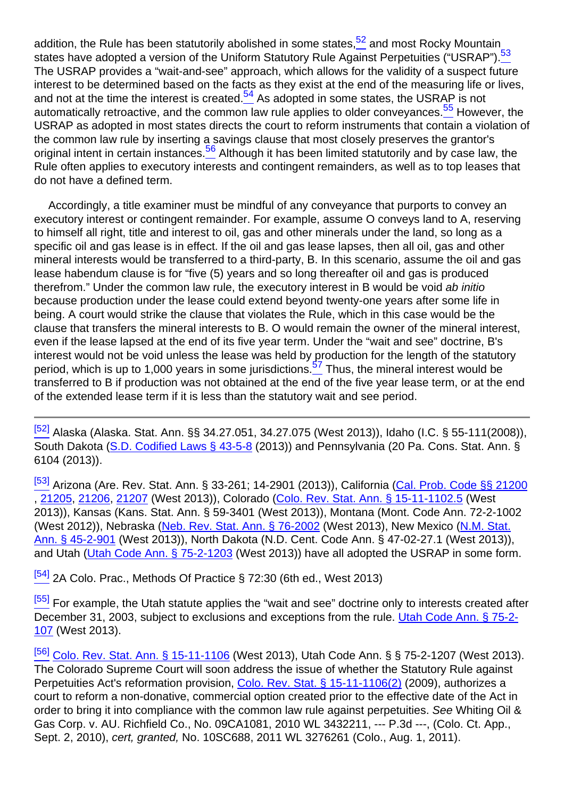<span id="page-12-3"></span><span id="page-12-2"></span><span id="page-12-1"></span><span id="page-12-0"></span>addition, the Rule has been statutorily abolished in some states, $52$  and most Rocky Mountain states have adopted a version of the Uniform Statutory Rule Against Perpetuities ("USRAP").<sup>53</sup> The USRAP provides a "wait-and-see" approach, which allows for the validity of a suspect future interest to be determined based on the facts as they exist at the end of the measuring life or lives, and not at the time the interest is created.<sup>54</sup> As adopted in some states, the USRAP is not automatically retroactive, and the common law rule applies to older conveyances.<sup>55</sup> However, the USRAP as adopted in most states directs the court to reform instruments that contain a violation of the common law rule by inserting a savings clause that most closely preserves the grantor's original intent in certain instances.<sup>56</sup> Although it has been limited statutorily and by case law, the Rule often applies to executory interests and contingent remainders, as well as to top leases that do not have a defined term.

<span id="page-12-4"></span>Accordingly, a title examiner must be mindful of any conveyance that purports to convey an executory interest or contingent remainder. For example, assume O conveys land to A, reserving to himself all right, title and interest to oil, gas and other minerals under the land, so long as a specific oil and gas lease is in effect. If the oil and gas lease lapses, then all oil, gas and other mineral interests would be transferred to a third-party, B. In this scenario, assume the oil and gas lease habendum clause is for "five (5) years and so long thereafter oil and gas is produced therefrom." Under the common law rule, the executory interest in B would be void ab initio because production under the lease could extend beyond twenty-one years after some life in being. A court would strike the clause that violates the Rule, which in this case would be the clause that transfers the mineral interests to B. O would remain the owner of the mineral interest, even if the lease lapsed at the end of its five year term. Under the "wait and see" doctrine, B's interest would not be void unless the lease was held by production for the length of the statutory period, which is up to 1,000 years in some jurisdictions.<sup>57</sup> Thus, the mineral interest would be transferred to B if production was not obtained at the end of the five year lease term, or at the end of the extended lease term if it is less than the statutory wait and see period.

<sup>[\[53\]](#page-12-1)</sup> Arizona (Are. Rev. Stat. Ann. § 33-261; 14-2901 (2013)), California ([Cal. Prob. Code §§ 21200](http://links.casemakerlegal.com/states/CA/books/Code/browse?codesec=21200amptitle=california%20probate%20codeampci=45ampfn=2014%20Jan%20(Advanced%20Mineral%20Title%20Examination)) , [21205](http://links.casemakerlegal.com/states/CA/books/Code/browse?codesec=21205amptitle=california%20probate%20codeampci=45ampfn=2014%20Jan%20(Advanced%20Mineral%20Title%20Examination)), [21206](http://links.casemakerlegal.com/states/CA/books/Code/browse?codesec=21206amptitle=california%20probate%20codeampci=45ampfn=2014%20Jan%20(Advanced%20Mineral%20Title%20Examination)), [21207](http://links.casemakerlegal.com/states/CA/books/Code/browse?codesec=21207amptitle=california%20probate%20codeampci=45ampfn=2014%20Jan%20(Advanced%20Mineral%20Title%20Examination)) (West 2013)), Colorado [\(Colo. Rev. Stat. Ann. § 15-11-1102.5](http://links.casemakerlegal.com/states/CO/books/Statutes/browse?ci=45ampcodesec=15-11-1102.5ampTitle=15ampfn=2014%20Jan%20(Advanced%20Mineral%20Title%20Examination)) (West 2013)), Kansas (Kans. Stat. Ann. § 59-3401 (West 2013)), Montana (Mont. Code Ann. 72-2-1002 (West 2012)), Nebraska ([Neb. Rev. Stat. Ann. § 76-2002](http://links.casemakerlegal.com/states/NE/books/Statutes/browse?ci=45ampcodesec=76-2002ampTitle=76ampfn=2014%20Jan%20(Advanced%20Mineral%20Title%20Examination)) (West 2013), New Mexico ([N.M. Stat.](http://links.casemakerlegal.com/states/NM/books/Statutes/browse?codesec=45-2-901ampci=45amptitle=45ampfn=2014%20Jan%20(Advanced%20Mineral%20Title%20Examination)) [Ann. § 45-2-901](http://links.casemakerlegal.com/states/NM/books/Statutes/browse?codesec=45-2-901ampci=45amptitle=45ampfn=2014%20Jan%20(Advanced%20Mineral%20Title%20Examination)) (West 2013)), North Dakota (N.D. Cent. Code Ann. § 47-02-27.1 (West 2013)), and Utah [\(Utah Code Ann. § 75-2-1203](http://links.casemakerlegal.com/states/UT/books/Code/browse?ci=45ampcodesec=75-2-1203ampTitle=75ampfn=2014%20Jan%20(Advanced%20Mineral%20Title%20Examination)) (West 2013)) have all adopted the USRAP in some form.

 $\frac{54}{2}$  2A Colo. Prac., Methods Of Practice § 72:30 (6th ed., West 2013)

[\[55\]](#page-12-3) For example, the Utah statute applies the "wait and see" doctrine only to interests created after December 31, 2003, subject to exclusions and exceptions from the rule. [Utah Code Ann. § 75-2-](http://links.casemakerlegal.com/states/UT/books/Code/browse?ci=45ampcodesec=75-2-107ampTitle=75ampfn=2014%20Jan%20(Advanced%20Mineral%20Title%20Examination)) [107](http://links.casemakerlegal.com/states/UT/books/Code/browse?ci=45ampcodesec=75-2-107ampTitle=75ampfn=2014%20Jan%20(Advanced%20Mineral%20Title%20Examination)) (West 2013).

[\[56\]](#page-12-4) [Colo. Rev. Stat. Ann. § 15-11-1106](http://links.casemakerlegal.com/states/CO/books/Statutes/browse?ci=45ampcodesec=15-11-1106ampTitle=15ampfn=2014%20Jan%20(Advanced%20Mineral%20Title%20Examination)) (West 2013), Utah Code Ann. § § 75-2-1207 (West 2013). The Colorado Supreme Court will soon address the issue of whether the Statutory Rule against Perpetuities Act's reformation provision, [Colo. Rev. Stat. § 15-11-1106\(2\)](http://links.casemakerlegal.com/states/CO/books/Statutes/browse?ci=45ampcodesec=15-11-1106ampTitle=15#15-11-1106(2)ampfn=2014%20Jan%20(Advanced%20Mineral%20Title%20Examination)) (2009), authorizes a court to reform a non-donative, commercial option created prior to the effective date of the Act in order to bring it into compliance with the common law rule against perpetuities. See Whiting Oil & Gas Corp. v. AU. Richfield Co., No. 09CA1081, 2010 WL 3432211, --- P.3d ---, (Colo. Ct. App., Sept. 2, 2010), cert, granted, No. 10SC688, 2011 WL 3276261 (Colo., Aug. 1, 2011).

<span id="page-12-5"></span>[<sup>\[52\]</sup>](#page-12-0) Alaska (Alaska. Stat. Ann. §§ 34.27.051, 34.27.075 (West 2013)), Idaho (I.C. § 55-111(2008)), South Dakota [\(S.D. Codified Laws § 43-5-8](http://links.casemakerlegal.com/states/SD/books/Statutes/browse?ci=45ampcodesec=43-5-8ampTitle=43ampfn=2014%20Jan%20(Advanced%20Mineral%20Title%20Examination)) (2013)) and Pennsylvania (20 Pa. Cons. Stat. Ann. § 6104 (2013)).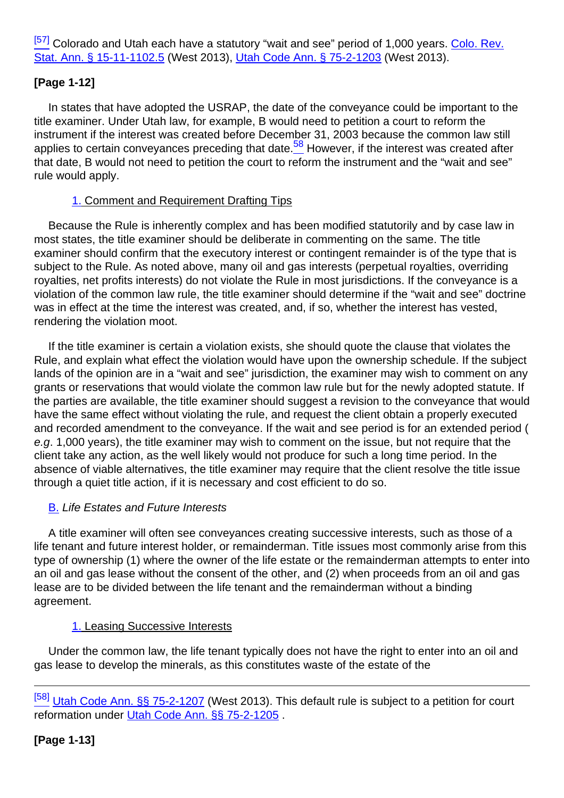[\[57\]](#page-12-5) Colorado and Utah each have a statutory "wait and see" period of 1,000 years. [Colo. Rev.](http://links.casemakerlegal.com/states/CO/books/Statutes/browse?ci=45ampcodesec=15-11-1102.5ampTitle=15ampfn=2014%20Jan%20(Advanced%20Mineral%20Title%20Examination)) [Stat. Ann. § 15-11-1102.5](http://links.casemakerlegal.com/states/CO/books/Statutes/browse?ci=45ampcodesec=15-11-1102.5ampTitle=15ampfn=2014%20Jan%20(Advanced%20Mineral%20Title%20Examination)) (West 2013), [Utah Code Ann. § 75-2-1203](http://links.casemakerlegal.com/states/UT/books/Code/browse?ci=45ampcodesec=75-2-1203ampTitle=75ampfn=2014%20Jan%20(Advanced%20Mineral%20Title%20Examination)) (West 2013).

#### **[Page 1-12]**

<span id="page-13-0"></span>In states that have adopted the USRAP, the date of the conveyance could be important to the title examiner. Under Utah law, for example, B would need to petition a court to reform the instrument if the interest was created before December 31, 2003 because the common law still applies to certain conveyances preceding that date. $\frac{58}{5}$  However, if the interest was created after that date, B would not need to petition the court to reform the instrument and the "wait and see" rule would apply.

#### 1. Comment and Requirement Drafting Tips

Because the Rule is inherently complex and has been modified statutorily and by case law in most states, the title examiner should be deliberate in commenting on the same. The title examiner should confirm that the executory interest or contingent remainder is of the type that is subject to the Rule. As noted above, many oil and gas interests (perpetual royalties, overriding royalties, net profits interests) do not violate the Rule in most jurisdictions. If the conveyance is a violation of the common law rule, the title examiner should determine if the "wait and see" doctrine was in effect at the time the interest was created, and, if so, whether the interest has vested, rendering the violation moot.

If the title examiner is certain a violation exists, she should quote the clause that violates the Rule, and explain what effect the violation would have upon the ownership schedule. If the subject lands of the opinion are in a "wait and see" jurisdiction, the examiner may wish to comment on any grants or reservations that would violate the common law rule but for the newly adopted statute. If the parties are available, the title examiner should suggest a revision to the conveyance that would have the same effect without violating the rule, and request the client obtain a properly executed and recorded amendment to the conveyance. If the wait and see period is for an extended period ( e.g. 1,000 years), the title examiner may wish to comment on the issue, but not require that the client take any action, as the well likely would not produce for such a long time period. In the absence of viable alternatives, the title examiner may require that the client resolve the title issue through a quiet title action, if it is necessary and cost efficient to do so.

#### **B.** Life Estates and Future Interests

A title examiner will often see conveyances creating successive interests, such as those of a life tenant and future interest holder, or remainderman. Title issues most commonly arise from this type of ownership (1) where the owner of the life estate or the remainderman attempts to enter into an oil and gas lease without the consent of the other, and (2) when proceeds from an oil and gas lease are to be divided between the life tenant and the remainderman without a binding agreement.

#### 1. Leasing Successive Interests

Under the common law, the life tenant typically does not have the right to enter into an oil and gas lease to develop the minerals, as this constitutes waste of the estate of the

**[Page 1-13]**

<sup>&</sup>lt;sup>[\[58\]](#page-13-0)</sup> [Utah Code Ann. §§ 75-2-1207](http://links.casemakerlegal.com/states/UT/books/Code/browse?ci=45ampcodesec=75-2-1207ampTitle=75ampfn=2014%20Jan%20(Advanced%20Mineral%20Title%20Examination)) (West 2013). This default rule is subiect to a petition for court reformation under [Utah Code Ann. §§ 75-2-1205](http://links.casemakerlegal.com/states/UT/books/Code/browse?ci=45ampcodesec=75-2-1205ampTitle=75ampfn=2014%20Jan%20(Advanced%20Mineral%20Title%20Examination)) .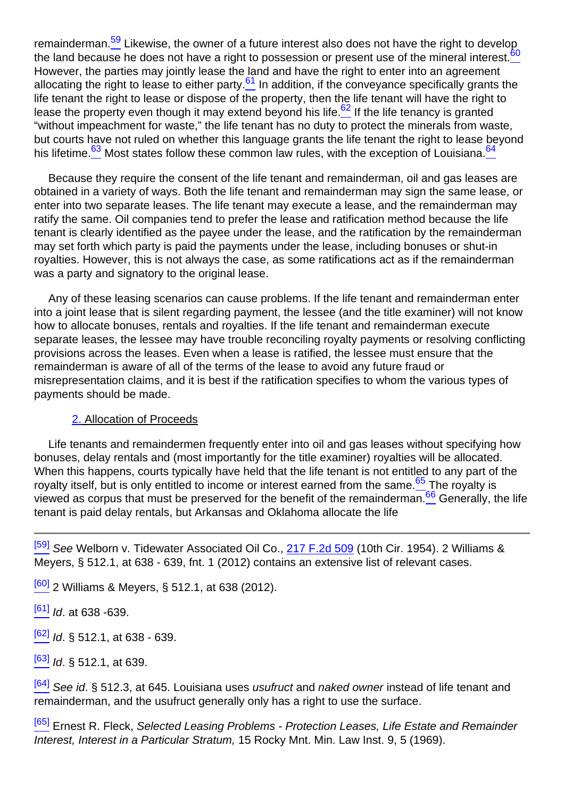<span id="page-14-3"></span><span id="page-14-2"></span><span id="page-14-1"></span><span id="page-14-0"></span>remainderman.<sup>59</sup> Likewise, the owner of a future interest also does not have the right to develop the land because he does not have a right to possession or present use of the mineral interest.<sup>60</sup> However, the parties may jointly lease the land and have the right to enter into an agreement allocating the right to lease to either party. $61$  In addition, if the conveyance specifically grants the life tenant the right to lease or dispose of the property, then the life tenant will have the right to lease the property even though it may extend beyond his life.<sup>62</sup> If the life tenancy is granted "without impeachment for waste," the life tenant has no duty to protect the minerals from waste, but courts have not ruled on whether this language grants the life tenant the right to lease beyond his lifetime.<sup>63</sup> Most states follow these common law rules, with the exception of Louisiana.<sup>64</sup>

<span id="page-14-4"></span>Because they require the consent of the life tenant and remainderman, oil and gas leases are obtained in a variety of ways. Both the life tenant and remainderman may sign the same lease, or enter into two separate leases. The life tenant may execute a lease, and the remainderman may ratify the same. Oil companies tend to prefer the lease and ratification method because the life tenant is clearly identified as the payee under the lease, and the ratification by the remainderman may set forth which party is paid the payments under the lease, including bonuses or shut-in royalties. However, this is not always the case, as some ratifications act as if the remainderman was a party and signatory to the original lease.

Any of these leasing scenarios can cause problems. If the life tenant and remainderman enter into a joint lease that is silent regarding payment, the lessee (and the title examiner) will not know how to allocate bonuses, rentals and royalties. If the life tenant and remainderman execute separate leases, the lessee may have trouble reconciling royalty payments or resolving conflicting provisions across the leases. Even when a lease is ratified, the lessee must ensure that the remainderman is aware of all of the terms of the lease to avoid any future fraud or misrepresentation claims, and it is best if the ratification specifies to whom the various types of payments should be made.

#### 2. Allocation of Proceeds

<span id="page-14-6"></span><span id="page-14-5"></span>Life tenants and remaindermen frequently enter into oil and gas leases without specifying how bonuses, delay rentals and (most importantly for the title examiner) royalties will be allocated. When this happens, courts typically have held that the life tenant is not entitled to any part of the royalty itself, but is only entitled to income or interest earned from the same. $65$  The royalty is viewed as corpus that must be preserved for the benefit of the remainderman.<sup>66</sup> Generally, the life tenant is paid delay rentals, but Arkansas and Oklahoma allocate the life

<sup>[\[59\]](#page-14-0)</sup> See Welborn v. Tidewater Associated Oil Co., [217 F.2d 509](http://links.casemakerlegal.com/books/Case_Law/results?ci=45ampsearch[Cite]=217+F.2d+509ampfn=2014%20Jan%20(Advanced%20Mineral%20Title%20Examination)) (10th Cir. 1954). 2 Williams & Meyers, § 512.1, at 638 - 639, fnt. 1 (2012) contains an extensive list of relevant cases.

 $[60]$  2 Williams & Meyers, § 512.1, at 638 (2012).

 $[61]$  Id. at 638 -639.

 $[62]$  *Id.* § 512.1, at 638 - 639.

 $^{[63]}$  $^{[63]}$  $^{[63]}$  Id. § 512.1, at 639.

 $\frac{[64]}{[64]}$  $\frac{[64]}{[64]}$  $\frac{[64]}{[64]}$  See id. § 512.3, at 645. Louisiana uses usufruct and naked owner instead of life tenant and remainderman, and the usufruct generally only has a right to use the surface.

<sup>[\[65\]](#page-14-5)</sup> Ernest R. Fleck, Selected Leasing Problems - Protection Leases, Life Estate and Remainder Interest, Interest in a Particular Stratum, 15 Rocky Mnt. Min. Law Inst. 9, 5 (1969).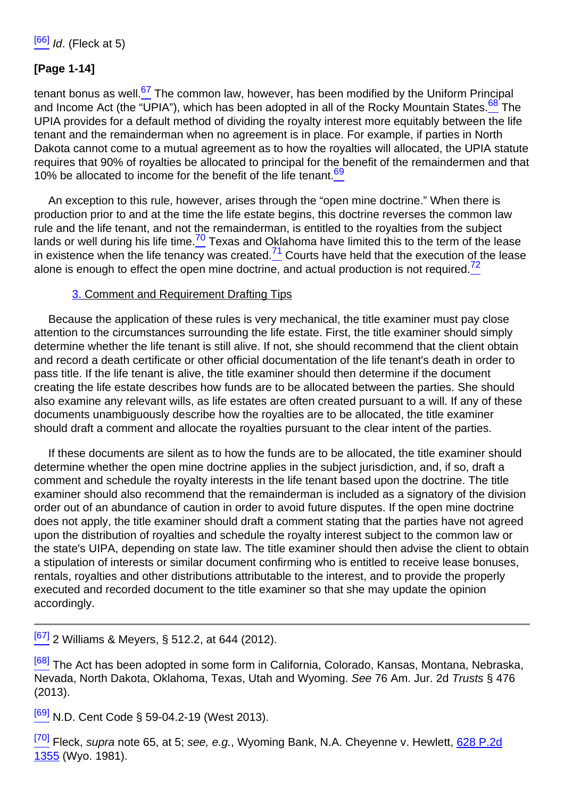# **[Page 1-14]**

<span id="page-15-1"></span><span id="page-15-0"></span>tenant bonus as well. $67$  The common law, however, has been modified by the Uniform Principal and Income Act (the "UPIA"), which has been adopted in all of the Rocky Mountain States.<sup>68</sup> The UPIA provides for a default method of dividing the royalty interest more equitably between the life tenant and the remainderman when no agreement is in place. For example, if parties in North Dakota cannot come to a mutual agreement as to how the royalties will allocated, the UPIA statute requires that 90% of royalties be allocated to principal for the benefit of the remaindermen and that 10% be allocated to income for the benefit of the life tenant.<sup>69</sup>

<span id="page-15-5"></span><span id="page-15-4"></span><span id="page-15-3"></span><span id="page-15-2"></span>An exception to this rule, however, arises through the "open mine doctrine." When there is production prior to and at the time the life estate begins, this doctrine reverses the common law rule and the life tenant, and not the remainderman, is entitled to the royalties from the subject lands or well during his life time. $\frac{70}{2}$  Texas and Oklahoma have limited this to the term of the lease in existence when the life tenancy was created. $\frac{71}{2}$  Courts have held that the execution of the lease alone is enough to effect the open mine doctrine, and actual production is not required.<sup>72</sup>

#### 3. Comment and Requirement Drafting Tips

Because the application of these rules is very mechanical, the title examiner must pay close attention to the circumstances surrounding the life estate. First, the title examiner should simply determine whether the life tenant is still alive. If not, she should recommend that the client obtain and record a death certificate or other official documentation of the life tenant's death in order to pass title. If the life tenant is alive, the title examiner should then determine if the document creating the life estate describes how funds are to be allocated between the parties. She should also examine any relevant wills, as life estates are often created pursuant to a will. If any of these documents unambiguously describe how the royalties are to be allocated, the title examiner should draft a comment and allocate the royalties pursuant to the clear intent of the parties.

If these documents are silent as to how the funds are to be allocated, the title examiner should determine whether the open mine doctrine applies in the subject jurisdiction, and, if so, draft a comment and schedule the royalty interests in the life tenant based upon the doctrine. The title examiner should also recommend that the remainderman is included as a signatory of the division order out of an abundance of caution in order to avoid future disputes. If the open mine doctrine does not apply, the title examiner should draft a comment stating that the parties have not agreed upon the distribution of royalties and schedule the royalty interest subject to the common law or the state's UIPA, depending on state law. The title examiner should then advise the client to obtain a stipulation of interests or similar document confirming who is entitled to receive lease bonuses, rentals, royalties and other distributions attributable to the interest, and to provide the properly executed and recorded document to the title examiner so that she may update the opinion accordingly.

 $\frac{[67]}{[67]}$  $\frac{[67]}{[67]}$  $\frac{[67]}{[67]}$  2 Williams & Meyers, § 512.2, at 644 (2012).

<sup>[\[68\]](#page-15-1)</sup> The Act has been adopted in some form in California, Colorado, Kansas, Montana, Nebraska, Nevada, North Dakota, Oklahoma, Texas, Utah and Wyoming. See 76 Am. Jur. 2d Trusts § 476 (2013).

<sup>[\[69\]](#page-15-2)</sup> N.D. Cent Code § 59-04.2-19 (West 2013).

 $\frac{[70]}{[70]}$  $\frac{[70]}{[70]}$  $\frac{[70]}{[70]}$  Fleck, supra note 65, at 5; see, e.g., Wyoming Bank, N.A. Cheyenne v. Hewlett, [628 P.2d](http://links.casemakerlegal.com/books/Case_Law/results?ci=45ampsearch[Cite]=628+P.2d+1355ampfn=2014%20Jan%20(Advanced%20Mineral%20Title%20Examination)) [1355](http://links.casemakerlegal.com/books/Case_Law/results?ci=45ampsearch[Cite]=628+P.2d+1355ampfn=2014%20Jan%20(Advanced%20Mineral%20Title%20Examination)) (Wyo. 1981).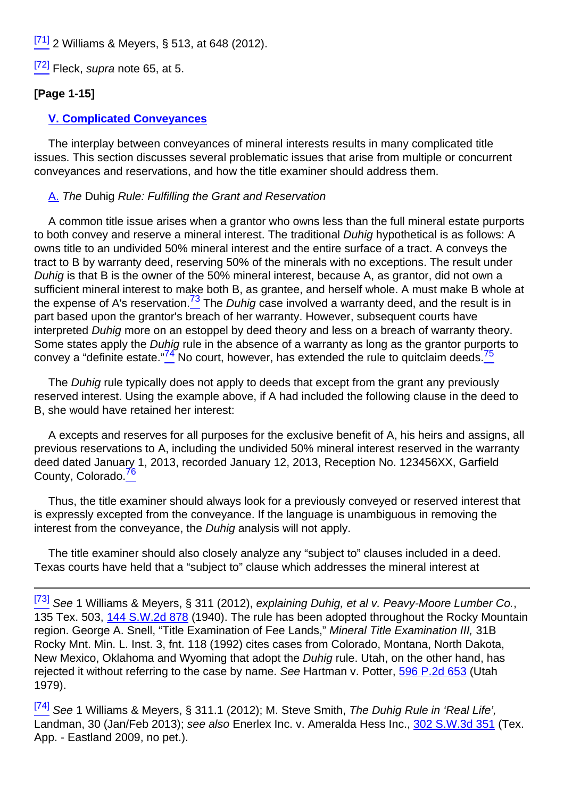$[71]$  2 Williams & Meyers, § 513, at 648 (2012).

<sup>[\[72\]](#page-15-5)</sup> Fleck, *supra* note 65, at 5.

#### **[Page 1-15]**

#### **V. Complicated Conveyances**

The interplay between conveyances of mineral interests results in many complicated title issues. This section discusses several problematic issues that arise from multiple or concurrent conveyances and reservations, and how the title examiner should address them.

#### A. The Duhig Rule: Fulfilling the Grant and Reservation

<span id="page-16-0"></span>A common title issue arises when a grantor who owns less than the full mineral estate purports to both convey and reserve a mineral interest. The traditional Duhig hypothetical is as follows: A owns title to an undivided 50% mineral interest and the entire surface of a tract. A conveys the tract to B by warranty deed, reserving 50% of the minerals with no exceptions. The result under Duhig is that B is the owner of the 50% mineral interest, because A, as grantor, did not own a sufficient mineral interest to make both B, as grantee, and herself whole. A must make B whole at the expense of A's reservation.<sup>73</sup> The *Duhig* case involved a warranty deed, and the result is in part based upon the grantor's breach of her warranty. However, subsequent courts have interpreted Duhig more on an estoppel by deed theory and less on a breach of warranty theory. Some states apply the Duhig rule in the absence of a warranty as long as the grantor purports to convey a "definite estate."<sup>74</sup> No court, however, has extended the rule to quitclaim deeds.<sup>75</sup>

<span id="page-16-1"></span>The Duhig rule typically does not apply to deeds that except from the grant any previously reserved interest. Using the example above, if A had included the following clause in the deed to B, she would have retained her interest:

<span id="page-16-2"></span>A excepts and reserves for all purposes for the exclusive benefit of A, his heirs and assigns, all previous reservations to A, including the undivided 50% mineral interest reserved in the warranty deed dated January 1, 2013, recorded January 12, 2013, Reception No. 123456XX, Garfield County, Colorado.<sup>76</sup>

Thus, the title examiner should always look for a previously conveyed or reserved interest that is expressly excepted from the conveyance. If the language is unambiguous in removing the interest from the conveyance, the Duhig analysis will not apply.

The title examiner should also closely analyze any "subject to" clauses included in a deed. Texas courts have held that a "subject to" clause which addresses the mineral interest at

<sup>&</sup>lt;sup>[\[73\]](#page-16-0)</sup> See 1 Williams & Meyers, § 311 (2012), explaining Duhig, et al v. Peavy-Moore Lumber Co., 135 Tex. 503, [144 S.W.2d 878](http://links.casemakerlegal.com/books/Case_Law/results?ci=45ampsearch[Cite]=144+S.W.2d+878ampfn=2014%20Jan%20(Advanced%20Mineral%20Title%20Examination)) (1940). The rule has been adopted throughout the Rocky Mountain region. George A. Snell, "Title Examination of Fee Lands," Mineral Title Examination III, 31B Rocky Mnt. Min. L. Inst. 3, fnt. 118 (1992) cites cases from Colorado, Montana, North Dakota, New Mexico, Oklahoma and Wyoming that adopt the *Duhig* rule. Utah, on the other hand, has rejected it without referring to the case by name. See Hartman v. Potter, [596 P.2d 653](http://links.casemakerlegal.com/books/Case_Law/results?ci=45ampsearch[Cite]=596+P.2d+653ampfn=2014%20Jan%20(Advanced%20Mineral%20Title%20Examination)) (Utah 1979).

<sup>&</sup>lt;sup>[\[74\]](#page-16-1)</sup> See 1 Williams & Meyers, § 311.1 (2012); M. Steve Smith, The Duhig Rule in 'Real Life', Landman, 30 (Jan/Feb 2013); see also Enerlex Inc. v. Ameralda Hess Inc., [302 S.W.3d 351](http://links.casemakerlegal.com/books/Case_Law/results?ci=45ampsearch[Cite]=302+S.W.3d+351ampfn=2014%20Jan%20(Advanced%20Mineral%20Title%20Examination)) (Tex. App. - Eastland 2009, no pet.).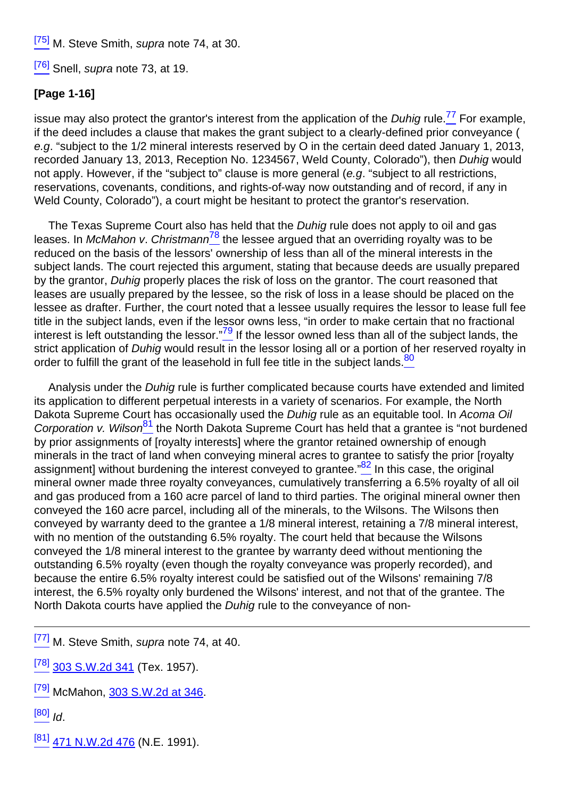<sup>[\[75\]](#page-16-1)</sup> M. Steve Smith, *supra* note 74, at 30.

<sup>[\[76\]](#page-16-2)</sup> Snell, *supra* note 73, at 19.

#### **[Page 1-16]**

<span id="page-17-0"></span>issue may also protect the grantor's interest from the application of the *Duhig* rule.<sup>77</sup> For example, if the deed includes a clause that makes the grant subject to a clearly-defined prior conveyance ( e.g. "subject to the 1/2 mineral interests reserved by O in the certain deed dated January 1, 2013, recorded January 13, 2013, Reception No. 1234567, Weld County, Colorado"), then Duhig would not apply. However, if the "subject to" clause is more general (e.g. "subject to all restrictions, reservations, covenants, conditions, and rights-of-way now outstanding and of record, if any in Weld County, Colorado"), a court might be hesitant to protect the grantor's reservation.

<span id="page-17-1"></span>The Texas Supreme Court also has held that the Duhig rule does not apply to oil and gas leases. In McMahon v. Christmann<sup>78</sup> the lessee argued that an overriding royalty was to be reduced on the basis of the lessors' ownership of less than all of the mineral interests in the subject lands. The court rejected this argument, stating that because deeds are usually prepared by the grantor, Duhig properly places the risk of loss on the grantor. The court reasoned that leases are usually prepared by the lessee, so the risk of loss in a lease should be placed on the lessee as drafter. Further, the court noted that a lessee usually requires the lessor to lease full fee title in the subject lands, even if the lessor owns less, "in order to make certain that no fractional interest is left outstanding the lessor." $\frac{79}{2}$  If the lessor owned less than all of the subject lands, the strict application of Duhig would result in the lessor losing all or a portion of her reserved royalty in order to fulfill the grant of the leasehold in full fee title in the subject lands. $80$ 

<span id="page-17-5"></span><span id="page-17-4"></span><span id="page-17-3"></span><span id="page-17-2"></span>Analysis under the Duhig rule is further complicated because courts have extended and limited its application to different perpetual interests in a variety of scenarios. For example, the North Dakota Supreme Court has occasionally used the *Duhig* rule as an equitable tool. In Acoma Oil Corporation v. Wilson<sup>81</sup> the North Dakota Supreme Court has held that a grantee is "not burdened by prior assignments of [royalty interests] where the grantor retained ownership of enough minerals in the tract of land when conveying mineral acres to grantee to satisfy the prior [royalty assignment] without burdening the interest conveyed to grantee." $82$  In this case, the original mineral owner made three royalty conveyances, cumulatively transferring a 6.5% royalty of all oil and gas produced from a 160 acre parcel of land to third parties. The original mineral owner then conveyed the 160 acre parcel, including all of the minerals, to the Wilsons. The Wilsons then conveyed by warranty deed to the grantee a 1/8 mineral interest, retaining a 7/8 mineral interest, with no mention of the outstanding 6.5% royalty. The court held that because the Wilsons conveyed the 1/8 mineral interest to the grantee by warranty deed without mentioning the outstanding 6.5% royalty (even though the royalty conveyance was properly recorded), and because the entire 6.5% royalty interest could be satisfied out of the Wilsons' remaining 7/8 interest, the 6.5% royalty only burdened the Wilsons' interest, and not that of the grantee. The North Dakota courts have applied the Duhig rule to the conveyance of non-

<sup>[\[77\]](#page-17-0)</sup> M. Steve Smith, *supra* note 74, at 40.

- $^{[78]}$  $^{[78]}$  $^{[78]}$  [303 S.W.2d 341](http://links.casemakerlegal.com/books/Case_Law/results?ci=45ampsearch[Cite]=303+S.W.2d+341ampfn=2014%20Jan%20(Advanced%20Mineral%20Title%20Examination)) (Tex. 1957).
- [\[79\]](#page-17-2) McMahon, [303 S.W.2d at 346](http://links.casemakerlegal.com/books/Case_Law/results?ci=45ampsearch[Cite]=303+S.W.2d+346#page346ampfn=2014%20Jan%20(Advanced%20Mineral%20Title%20Examination)).
- $[80]$  Id.
- $^{[81]}$  $^{[81]}$  $^{[81]}$  [471 N.W.2d 476](http://links.casemakerlegal.com/books/Case_Law/results?ci=45ampsearch[Cite]=471+N.W.2d+476ampfn=2014%20Jan%20(Advanced%20Mineral%20Title%20Examination)) (N.E. 1991).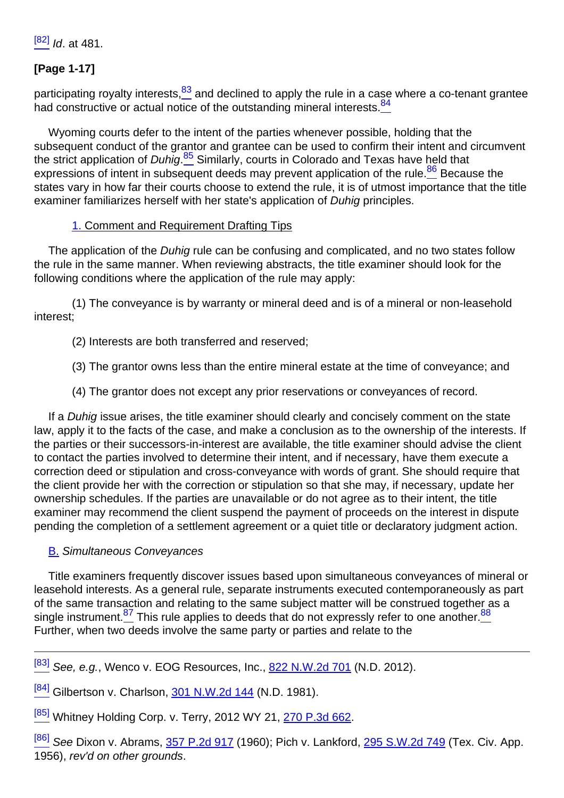$[82]$  *Id.* at 481.

# **[Page 1-17]**

<span id="page-18-1"></span><span id="page-18-0"></span>participating royalty interests, $\frac{83}{2}$  and declined to apply the rule in a case where a co-tenant grantee had constructive or actual notice of the outstanding mineral interests.<sup>84</sup>

<span id="page-18-3"></span><span id="page-18-2"></span>Wyoming courts defer to the intent of the parties whenever possible, holding that the subsequent conduct of the grantor and grantee can be used to confirm their intent and circumvent the strict application of *Duhig*.<sup>85</sup> Similarly, courts in Colorado and Texas have held that expressions of intent in subsequent deeds may prevent application of the rule.<sup>86</sup> Because the states vary in how far their courts choose to extend the rule, it is of utmost importance that the title examiner familiarizes herself with her state's application of Duhig principles.

#### 1. Comment and Requirement Drafting Tips

The application of the Duhig rule can be confusing and complicated, and no two states follow the rule in the same manner. When reviewing abstracts, the title examiner should look for the following conditions where the application of the rule may apply:

(1) The conveyance is by warranty or mineral deed and is of a mineral or non-leasehold interest;

- (2) Interests are both transferred and reserved;
- (3) The grantor owns less than the entire mineral estate at the time of conveyance; and
- (4) The grantor does not except any prior reservations or conveyances of record.

If a Duhig issue arises, the title examiner should clearly and concisely comment on the state law, apply it to the facts of the case, and make a conclusion as to the ownership of the interests. If the parties or their successors-in-interest are available, the title examiner should advise the client to contact the parties involved to determine their intent, and if necessary, have them execute a correction deed or stipulation and cross-conveyance with words of grant. She should require that the client provide her with the correction or stipulation so that she may, if necessary, update her ownership schedules. If the parties are unavailable or do not agree as to their intent, the title examiner may recommend the client suspend the payment of proceeds on the interest in dispute pending the completion of a settlement agreement or a quiet title or declaratory judgment action.

#### B. Simultaneous Conveyances

<span id="page-18-4"></span>Title examiners frequently discover issues based upon simultaneous conveyances of mineral or leasehold interests. As a general rule, separate instruments executed contemporaneously as part of the same transaction and relating to the same subject matter will be construed together as a single instrument.<sup>87</sup> This rule applies to deeds that do not expressly refer to one another.<sup>88</sup> Further, when two deeds involve the same party or parties and relate to the

[\[83\]](#page-18-0) See, e.g., Wenco v. EOG Resources, Inc., [822 N.W.2d 701](http://links.casemakerlegal.com/books/Case_Law/results?ci=45ampsearch[Cite]=822+N.W.2d+701ampfn=2014%20Jan%20(Advanced%20Mineral%20Title%20Examination)) (N.D. 2012).

 $[84]$  Gilbertson v. Charlson, [301 N.W.2d 144](http://links.casemakerlegal.com/books/Case_Law/results?ci=45ampsearch[Cite]=301+N.W.2d+144ampfn=2014%20Jan%20(Advanced%20Mineral%20Title%20Examination)) (N.D. 1981).

[\[85\]](#page-18-2) Whitney Holding Corp. v. Terry, 2012 WY 21, [270 P.3d 662](http://links.casemakerlegal.com/books/Case_Law/results?ci=45ampsearch[Cite]=270+P.3d+662ampfn=2014%20Jan%20(Advanced%20Mineral%20Title%20Examination)).

<sup>[\[86\]](#page-18-3)</sup> See Dixon v. Abrams, [357 P.2d 917](http://links.casemakerlegal.com/books/Case_Law/results?ci=45ampsearch[Cite]=357+P.2d+917ampfn=2014%20Jan%20(Advanced%20Mineral%20Title%20Examination)) (1960); Pich v. Lankford, [295 S.W.2d 749](http://links.casemakerlegal.com/books/Case_Law/results?ci=45ampsearch[Cite]=295+S.W.2d+749ampfn=2014%20Jan%20(Advanced%20Mineral%20Title%20Examination)) (Tex. Civ. App. 1956), rev'd on other grounds.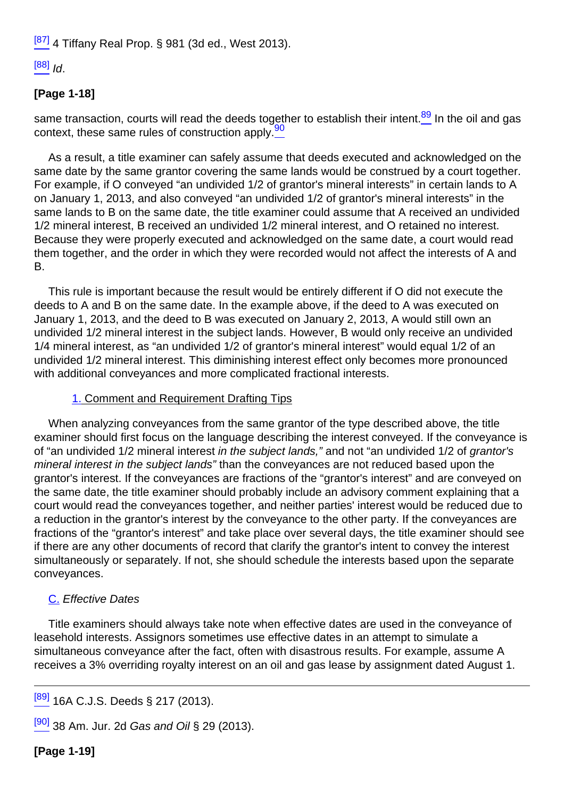$[87]$  4 Tiffany Real Prop. § 981 (3d ed., West 2013).

 $[88]$   $Id.$ 

# **[Page 1-18]**

<span id="page-19-1"></span><span id="page-19-0"></span>same transaction, courts will read the deeds together to establish their intent. $\frac{89}{2}$  In the oil and gas context, these same rules of construction apply.<sup>90</sup>

As a result, a title examiner can safely assume that deeds executed and acknowledged on the same date by the same grantor covering the same lands would be construed by a court together. For example, if O conveyed "an undivided 1/2 of grantor's mineral interests" in certain lands to A on January 1, 2013, and also conveyed "an undivided 1/2 of grantor's mineral interests" in the same lands to B on the same date, the title examiner could assume that A received an undivided 1/2 mineral interest, B received an undivided 1/2 mineral interest, and O retained no interest. Because they were properly executed and acknowledged on the same date, a court would read them together, and the order in which they were recorded would not affect the interests of A and B.

This rule is important because the result would be entirely different if O did not execute the deeds to A and B on the same date. In the example above, if the deed to A was executed on January 1, 2013, and the deed to B was executed on January 2, 2013, A would still own an undivided 1/2 mineral interest in the subject lands. However, B would only receive an undivided 1/4 mineral interest, as "an undivided 1/2 of grantor's mineral interest" would equal 1/2 of an undivided 1/2 mineral interest. This diminishing interest effect only becomes more pronounced with additional conveyances and more complicated fractional interests.

#### 1. Comment and Requirement Drafting Tips

When analyzing conveyances from the same grantor of the type described above, the title examiner should first focus on the language describing the interest conveyed. If the conveyance is of "an undivided 1/2 mineral interest in the subject lands," and not "an undivided 1/2 of grantor's mineral interest in the subject lands" than the conveyances are not reduced based upon the grantor's interest. If the conveyances are fractions of the "grantor's interest" and are conveyed on the same date, the title examiner should probably include an advisory comment explaining that a court would read the conveyances together, and neither parties' interest would be reduced due to a reduction in the grantor's interest by the conveyance to the other party. If the conveyances are fractions of the "grantor's interest" and take place over several days, the title examiner should see if there are any other documents of record that clarify the grantor's intent to convey the interest simultaneously or separately. If not, she should schedule the interests based upon the separate conveyances.

# C. Effective Dates

Title examiners should always take note when effective dates are used in the conveyance of leasehold interests. Assignors sometimes use effective dates in an attempt to simulate a simultaneous conveyance after the fact, often with disastrous results. For example, assume A receives a 3% overriding royalty interest on an oil and gas lease by assignment dated August 1.

[\[89\]](#page-19-0) 16A C.J.S. Deeds § 217 (2013).

 $[90]$  38 Am. Jur. 2d Gas and Oil § 29 (2013).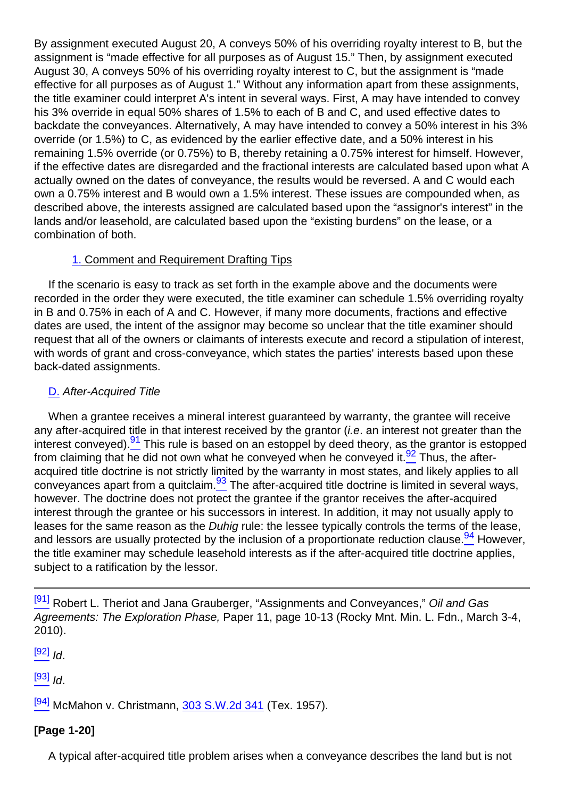By assignment executed August 20, A conveys 50% of his overriding royalty interest to B, but the assignment is "made effective for all purposes as of August 15." Then, by assignment executed August 30, A conveys 50% of his overriding royalty interest to C, but the assignment is "made effective for all purposes as of August 1." Without any information apart from these assignments, the title examiner could interpret A's intent in several ways. First, A may have intended to convey his 3% override in equal 50% shares of 1.5% to each of B and C, and used effective dates to backdate the conveyances. Alternatively, A may have intended to convey a 50% interest in his 3% override (or 1.5%) to C, as evidenced by the earlier effective date, and a 50% interest in his remaining 1.5% override (or 0.75%) to B, thereby retaining a 0.75% interest for himself. However, if the effective dates are disregarded and the fractional interests are calculated based upon what A actually owned on the dates of conveyance, the results would be reversed. A and C would each own a 0.75% interest and B would own a 1.5% interest. These issues are compounded when, as described above, the interests assigned are calculated based upon the "assignor's interest" in the lands and/or leasehold, are calculated based upon the "existing burdens" on the lease, or a combination of both.

#### 1. Comment and Requirement Drafting Tips

If the scenario is easy to track as set forth in the example above and the documents were recorded in the order they were executed, the title examiner can schedule 1.5% overriding royalty in B and 0.75% in each of A and C. However, if many more documents, fractions and effective dates are used, the intent of the assignor may become so unclear that the title examiner should request that all of the owners or claimants of interests execute and record a stipulation of interest, with words of grant and cross-conveyance, which states the parties' interests based upon these back-dated assignments.

#### D. After-Acquired Title

<span id="page-20-2"></span><span id="page-20-1"></span><span id="page-20-0"></span>When a grantee receives a mineral interest guaranteed by warranty, the grantee will receive any after-acquired title in that interest received by the grantor *(i.e.* an interest not greater than the interest conveved).<sup>91</sup> This rule is based on an estoppel by deed theory, as the grantor is estopped from claiming that he did not own what he conveyed when he conveyed it. $\frac{92}{2}$  Thus, the afteracquired title doctrine is not strictly limited by the warranty in most states, and likely applies to all conveyances apart from a quitclaim.  $\frac{93}{10}$  The after-acquired title doctrine is limited in several ways, however. The doctrine does not protect the grantee if the grantor receives the after-acquired interest through the grantee or his successors in interest. In addition, it may not usually apply to leases for the same reason as the *Duhig* rule: the lessee typically controls the terms of the lease, and lessors are usually protected by the inclusion of a proportionate reduction clause. $\frac{94}{2}$  However, the title examiner may schedule leasehold interests as if the after-acquired title doctrine applies, subject to a ratification by the lessor.

 $[92]$   $\overline{1}$ 

 $[93]$  Id.

 $[94]$  McMahon v. Christmann,  $303$  S.W.2d 341 (Tex. 1957).

# **[Page 1-20]**

A typical after-acquired title problem arises when a conveyance describes the land but is not

<span id="page-20-3"></span>[<sup>\[91\]</sup>](#page-20-0) Robert L. Theriot and Jana Grauberger, "Assignments and Conveyances," Oil and Gas Agreements: The Exploration Phase, Paper 11, page 10-13 (Rocky Mnt. Min. L. Fdn., March 3-4, 2010).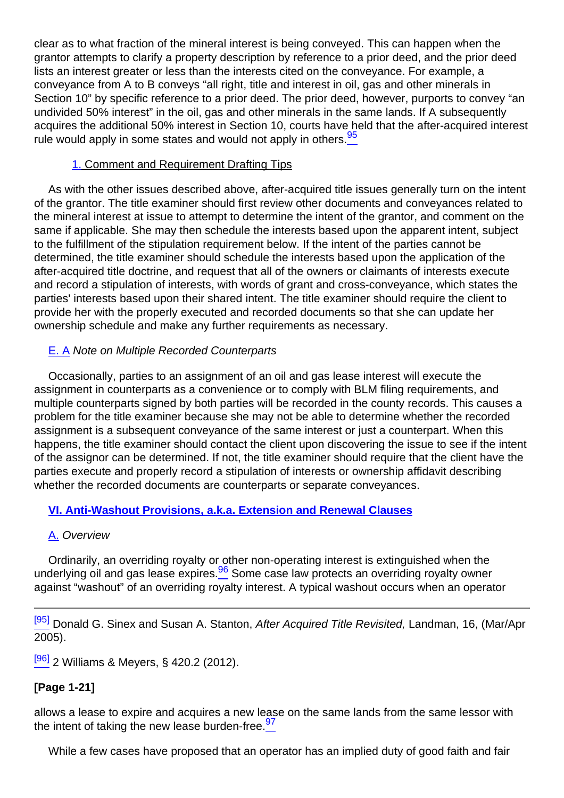clear as to what fraction of the mineral interest is being conveyed. This can happen when the grantor attempts to clarify a property description by reference to a prior deed, and the prior deed lists an interest greater or less than the interests cited on the conveyance. For example, a conveyance from A to B conveys "all right, title and interest in oil, gas and other minerals in Section 10" by specific reference to a prior deed. The prior deed, however, purports to convey "an undivided 50% interest" in the oil, gas and other minerals in the same lands. If A subsequently acquires the additional 50% interest in Section 10, courts have held that the after-acquired interest rule would apply in some states and would not apply in others.<sup>95</sup>

#### 1. Comment and Requirement Drafting Tips

<span id="page-21-0"></span>As with the other issues described above, after-acquired title issues generally turn on the intent of the grantor. The title examiner should first review other documents and conveyances related to the mineral interest at issue to attempt to determine the intent of the grantor, and comment on the same if applicable. She may then schedule the interests based upon the apparent intent, subject to the fulfillment of the stipulation requirement below. If the intent of the parties cannot be determined, the title examiner should schedule the interests based upon the application of the after-acquired title doctrine, and request that all of the owners or claimants of interests execute and record a stipulation of interests, with words of grant and cross-conveyance, which states the parties' interests based upon their shared intent. The title examiner should require the client to provide her with the properly executed and recorded documents so that she can update her ownership schedule and make any further requirements as necessary.

#### E. A Note on Multiple Recorded Counterparts

Occasionally, parties to an assignment of an oil and gas lease interest will execute the assignment in counterparts as a convenience or to comply with BLM filing requirements, and multiple counterparts signed by both parties will be recorded in the county records. This causes a problem for the title examiner because she may not be able to determine whether the recorded assignment is a subsequent conveyance of the same interest or just a counterpart. When this happens, the title examiner should contact the client upon discovering the issue to see if the intent of the assignor can be determined. If not, the title examiner should require that the client have the parties execute and properly record a stipulation of interests or ownership affidavit describing whether the recorded documents are counterparts or separate conveyances.

# **VI. Anti-Washout Provisions, a.k.a. Extension and Renewal Clauses**

#### A. Overview

<span id="page-21-1"></span>Ordinarily, an overriding royalty or other non-operating interest is extinguished when the underlying oil and gas lease expires. $\frac{96}{6}$  Some case law protects an overriding royalty owner against "washout" of an overriding royalty interest. A typical washout occurs when an operator

[\[95\]](#page-21-0) Donald G. Sinex and Susan A. Stanton, After Acquired Title Revisited, Landman, 16, (Mar/Apr 2005).

[\[96\]](#page-21-1) 2 Williams & Meyers, § 420.2 (2012).

# **[Page 1-21]**

<span id="page-21-2"></span>allows a lease to expire and acquires a new lease on the same lands from the same lessor with the intent of taking the new lease burden-free.  $97$ 

While a few cases have proposed that an operator has an implied duty of good faith and fair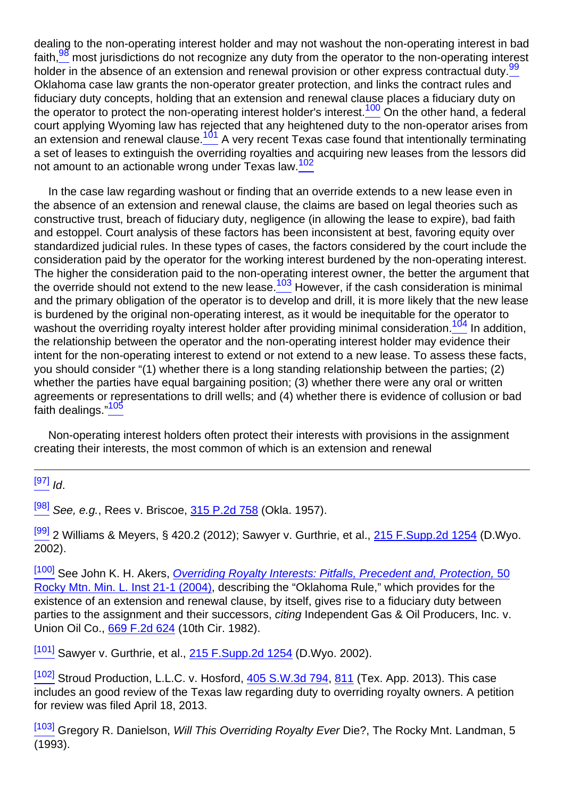<span id="page-22-2"></span><span id="page-22-1"></span><span id="page-22-0"></span>dealing to the non-operating interest holder and may not washout the non-operating interest in bad faith,<sup>98</sup> most jurisdictions do not recognize any duty from the operator to the non-operating interest holder in the absence of an extension and renewal provision or other express contractual duty.<sup>99</sup> Oklahoma case law grants the non-operator greater protection, and links the contract rules and fiduciary duty concepts, holding that an extension and renewal clause places a fiduciary duty on the operator to protect the non-operating interest holder's interest.<sup>100</sup> On the other hand, a federal court applying Wyoming law has rejected that any heightened duty to the non-operator arises from an extension and renewal clause. $\frac{101}{2}$  A very recent Texas case found that intentionally terminating a set of leases to extinguish the overriding royalties and acquiring new leases from the lessors did not amount to an actionable wrong under Texas law.<sup>102</sup>

<span id="page-22-5"></span><span id="page-22-4"></span><span id="page-22-3"></span>In the case law regarding washout or finding that an override extends to a new lease even in the absence of an extension and renewal clause, the claims are based on legal theories such as constructive trust, breach of fiduciary duty, negligence (in allowing the lease to expire), bad faith and estoppel. Court analysis of these factors has been inconsistent at best, favoring equity over standardized judicial rules. In these types of cases, the factors considered by the court include the consideration paid by the operator for the working interest burdened by the non-operating interest. The higher the consideration paid to the non-operating interest owner, the better the argument that the override should not extend to the new lease.<sup>103</sup> However, if the cash consideration is minimal and the primary obligation of the operator is to develop and drill, it is more likely that the new lease is burdened by the original non-operating interest, as it would be inequitable for the operator to washout the overriding royalty interest holder after providing minimal consideration.<sup>104</sup> In addition, the relationship between the operator and the non-operating interest holder may evidence their intent for the non-operating interest to extend or not extend to a new lease. To assess these facts, you should consider "(1) whether there is a long standing relationship between the parties; (2) whether the parties have equal bargaining position; (3) whether there were any oral or written agreements or representations to drill wells; and (4) whether there is evidence of collusion or bad faith dealings."<sup>105</sup>

<span id="page-22-7"></span><span id="page-22-6"></span>Non-operating interest holders often protect their interests with provisions in the assignment creating their interests, the most common of which is an extension and renewal

 $[97]$  Id.

<sup>[\[98\]](#page-22-0)</sup> See, e.g., Rees v. Briscoe, [315 P.2d 758](http://links.casemakerlegal.com/books/Case_Law/results?ci=45ampsearch[Cite]=315+P.2d+758ampfn=2014%20Jan%20(Advanced%20Mineral%20Title%20Examination)) (Okla, 1957).

[\[99\]](#page-22-1) 2 Williams & Meyers, § 420.2 (2012); Sawyer v. Gurthrie, et al., [215 F.Supp.2d 1254](http://links.casemakerlegal.com/books/Case_Law/results?ci=45ampsearch[Cite]=215+F.Supp.2d+1254ampfn=2014%20Jan%20(Advanced%20Mineral%20Title%20Examination)) (D.Wyo. 2002).

[\[100\]](#page-22-2) See John K. H. Akers, Overriding Royalty Interests: Pitfalls, Precedent and, Protection, [50](http://rmmlf.casemakerlibra.com/home/libra_2_rmmlf.aspx?doc=d:/data/RMMLF/Samples/50%20Rocky%20Mt.%20Min.%20L.%20Inst.%20(2004)/Chapter%2021%20OVERRIDING.htmampcurdoc=24ampp=12256#page21-1) [Rocky Mtn. Min. L. Inst 21-1 \(2004\)](http://rmmlf.casemakerlibra.com/home/libra_2_rmmlf.aspx?doc=d:/data/RMMLF/Samples/50%20Rocky%20Mt.%20Min.%20L.%20Inst.%20(2004)/Chapter%2021%20OVERRIDING.htmampcurdoc=24ampp=12256#page21-1), describing the "Oklahoma Rule," which provides for the existence of an extension and renewal clause, by itself, gives rise to a fiduciary duty between parties to the assignment and their successors, citing Independent Gas & Oil Producers, Inc. v. Union Oil Co., [669 F.2d 624](http://links.casemakerlegal.com/books/Case_Law/results?ci=45ampsearch[Cite]=669+F.2d+624ampfn=2014%20Jan%20(Advanced%20Mineral%20Title%20Examination)) (10th Cir. 1982).

[\[101\]](#page-22-3) Sawyer v. Gurthrie, et al., [215 F.Supp.2d 1254](http://links.casemakerlegal.com/books/Case_Law/results?ci=45ampsearch[Cite]=215+F.Supp.2d+1254ampfn=2014%20Jan%20(Advanced%20Mineral%20Title%20Examination)) (D.Wyo. 2002).

[\[102\]](#page-22-4) Stroud Production, L.L.C. v. Hosford, [405 S.W.3d 794](http://links.casemakerlegal.com/books/Case_Law/results?ci=45ampsearch[Cite]=405+S.W.3d+794ampfn=2014%20Jan%20(Advanced%20Mineral%20Title%20Examination)), [811](http://links.casemakerlegal.com/books/Case_Law/results?ci=45ampsearch[Cite]=405+S.W.3d+811#page811ampfn=2014%20Jan%20(Advanced%20Mineral%20Title%20Examination)) (Tex. App. 2013). This case includes an good review of the Texas law regarding duty to overriding royalty owners. A petition for review was filed April 18, 2013.

 $\frac{[103]}{[103]}$  $\frac{[103]}{[103]}$  $\frac{[103]}{[103]}$  Gregory R. Danielson, *Will This Overriding Royalty Ever Die?*, The Rocky Mnt. Landman, 5 (1993).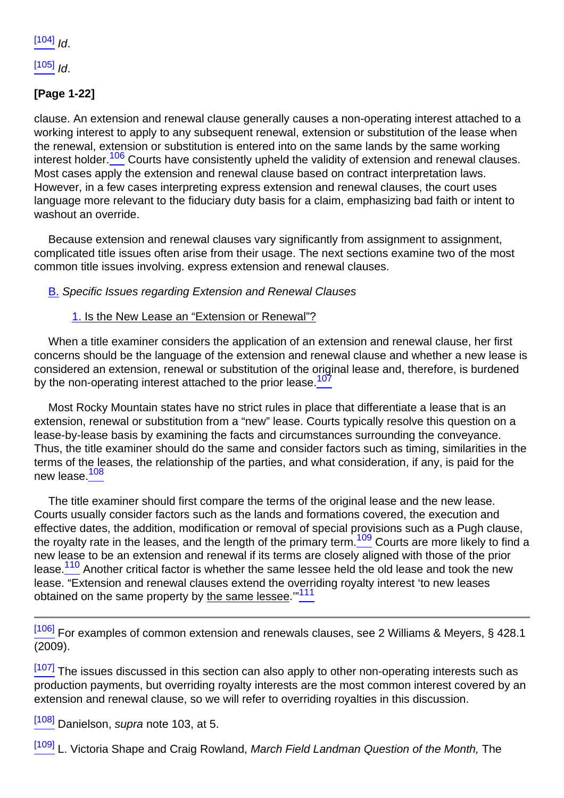$[104]$   $Id.$ 

 $[105]$   $\overline{1}$ 

# **[Page 1-22]**

<span id="page-23-0"></span>clause. An extension and renewal clause generally causes a non-operating interest attached to a working interest to apply to any subsequent renewal, extension or substitution of the lease when the renewal, extension or substitution is entered into on the same lands by the same working interest holder.<sup>106</sup> Courts have consistently upheld the validity of extension and renewal clauses. Most cases apply the extension and renewal clause based on contract interpretation laws. However, in a few cases interpreting express extension and renewal clauses, the court uses language more relevant to the fiduciary duty basis for a claim, emphasizing bad faith or intent to washout an override.

Because extension and renewal clauses vary significantly from assignment to assignment, complicated title issues often arise from their usage. The next sections examine two of the most common title issues involving. express extension and renewal clauses.

#### B. Specific Issues regarding Extension and Renewal Clauses

#### 1. Is the New Lease an "Extension or Renewal"?

<span id="page-23-1"></span>When a title examiner considers the application of an extension and renewal clause, her first concerns should be the language of the extension and renewal clause and whether a new lease is considered an extension, renewal or substitution of the original lease and, therefore, is burdened by the non-operating interest attached to the prior lease.<sup>107</sup>

Most Rocky Mountain states have no strict rules in place that differentiate a lease that is an extension, renewal or substitution from a "new" lease. Courts typically resolve this question on a lease-by-lease basis by examining the facts and circumstances surrounding the conveyance. Thus, the title examiner should do the same and consider factors such as timing, similarities in the terms of the leases, the relationship of the parties, and what consideration, if any, is paid for the new lease.<sup>108</sup>

<span id="page-23-4"></span><span id="page-23-3"></span><span id="page-23-2"></span>The title examiner should first compare the terms of the original lease and the new lease. Courts usually consider factors such as the lands and formations covered, the execution and effective dates, the addition, modification or removal of special provisions such as a Pugh clause, the royalty rate in the leases, and the length of the primary term.<sup>109</sup> Courts are more likely to find a new lease to be an extension and renewal if its terms are closely aligned with those of the prior lease.<sup>110</sup> Another critical factor is whether the same lessee held the old lease and took the new lease. "Extension and renewal clauses extend the overriding royalty interest 'to new leases obtained on the same property by the same lessee."<sup>111</sup>

<span id="page-23-5"></span>[\[106\]](#page-23-0) For examples of common extension and renewals clauses, see 2 Williams & Meyers, § 428.1 (2009).

 $\frac{[107]}{[107]}$  $\frac{[107]}{[107]}$  $\frac{[107]}{[107]}$  The issues discussed in this section can also apply to other non-operating interests such as production payments, but overriding royalty interests are the most common interest covered by an extension and renewal clause, so we will refer to overriding royalties in this discussion.

[\[108\]](#page-23-2) Danielson, supra note 103, at 5.

[\[109\]](#page-23-3) L. Victoria Shape and Craig Rowland, March Field Landman Question of the Month, The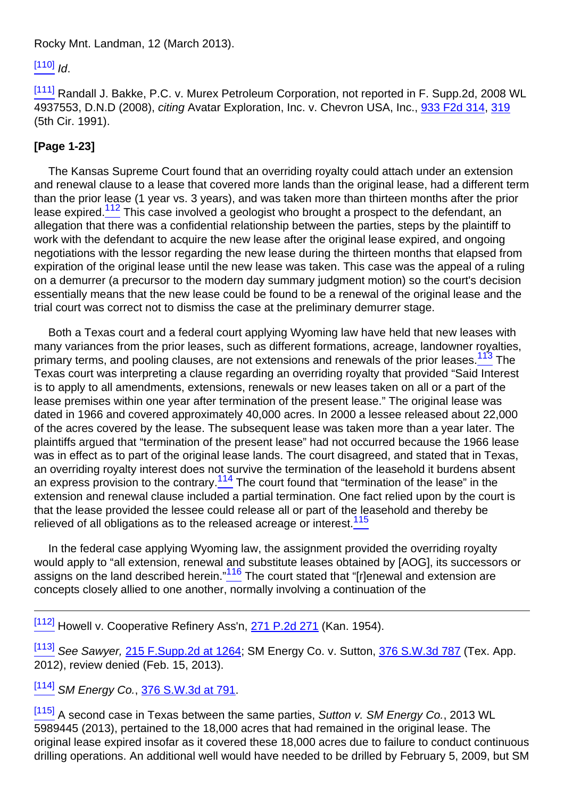#### Rocky Mnt. Landman, 12 (March 2013).

 $[110]$  Id.

[\[111\]](#page-23-5) Randall J. Bakke, P.C. v. Murex Petroleum Corporation, not reported in F. Supp.2d, 2008 WL 4937553, D.N.D (2008), citing Avatar Exploration, Inc. v. Chevron USA, Inc., [933 F2d 314,](http://links.casemakerlegal.com/books/Case_Law/results?ci=45ampsearch[Cite]=933+F.2d+314ampfn=2014%20Jan%20(Advanced%20Mineral%20Title%20Examination)) [319](http://links.casemakerlegal.com/books/Case_Law/results?ci=45ampsearch[Cite]=933+F.2d+319#page319ampfn=2014%20Jan%20(Advanced%20Mineral%20Title%20Examination)) (5th Cir. 1991).

# **[Page 1-23]**

<span id="page-24-0"></span>The Kansas Supreme Court found that an overriding royalty could attach under an extension and renewal clause to a lease that covered more lands than the original lease, had a different term than the prior lease (1 year vs. 3 years), and was taken more than thirteen months after the prior lease expired.<sup>112</sup> This case involved a geologist who brought a prospect to the defendant, an allegation that there was a confidential relationship between the parties, steps by the plaintiff to work with the defendant to acquire the new lease after the original lease expired, and ongoing negotiations with the lessor regarding the new lease during the thirteen months that elapsed from expiration of the original lease until the new lease was taken. This case was the appeal of a ruling on a demurrer (a precursor to the modern day summary judgment motion) so the court's decision essentially means that the new lease could be found to be a renewal of the original lease and the trial court was correct not to dismiss the case at the preliminary demurrer stage.

<span id="page-24-1"></span>Both a Texas court and a federal court applying Wyoming law have held that new leases with many variances from the prior leases, such as different formations, acreage, landowner royalties, primary terms, and pooling clauses, are not extensions and renewals of the prior leases.<sup>113</sup> The Texas court was interpreting a clause regarding an overriding royalty that provided "Said Interest is to apply to all amendments, extensions, renewals or new leases taken on all or a part of the lease premises within one year after termination of the present lease." The original lease was dated in 1966 and covered approximately 40,000 acres. In 2000 a lessee released about 22,000 of the acres covered by the lease. The subsequent lease was taken more than a year later. The plaintiffs argued that "termination of the present lease" had not occurred because the 1966 lease was in effect as to part of the original lease lands. The court disagreed, and stated that in Texas, an overriding royalty interest does not survive the termination of the leasehold it burdens absent an express provision to the contrary.<sup>114</sup> The court found that "termination of the lease" in the extension and renewal clause included a partial termination. One fact relied upon by the court is that the lease provided the lessee could release all or part of the leasehold and thereby be relieved of all obligations as to the released acreage or interest.<sup>115</sup>

<span id="page-24-4"></span><span id="page-24-3"></span><span id="page-24-2"></span>In the federal case applying Wyoming law, the assignment provided the overriding royalty would apply to "all extension, renewal and substitute leases obtained by [AOG], its successors or assigns on the land described herein." $116$  The court stated that "[r]enewal and extension are concepts closely allied to one another, normally involving a continuation of the

[\[112\]](#page-24-0) Howell v. Cooperative Refinery Ass'n, [271 P.2d 271](http://links.casemakerlegal.com/books/Case_Law/results?ci=45ampsearch[Cite]=271+P.2d+271ampfn=2014%20Jan%20(Advanced%20Mineral%20Title%20Examination)) (Kan. 1954).

<sup>[\[113\]](#page-24-1)</sup> See Sawyer, [215 F.Supp.2d at 1264](http://links.casemakerlegal.com/books/Case_Law/results?ci=45ampsearch[Cite]=215+F.Supp.2d+1264#page1264ampfn=2014%20Jan%20(Advanced%20Mineral%20Title%20Examination)); SM Energy Co. v. Sutton, [376 S.W.3d 787](http://links.casemakerlegal.com/books/Case_Law/results?ci=45ampsearch[Cite]=376+S.W.3d+787ampfn=2014%20Jan%20(Advanced%20Mineral%20Title%20Examination)) (Tex. App. 2012), review denied (Feb. 15, 2013).

# [\[114\]](#page-24-2) SM Energy Co., [376 S.W.3d at 791](http://links.casemakerlegal.com/books/Case_Law/results?ci=45ampsearch[Cite]=376+S.W.3d+791#page791ampfn=2014%20Jan%20(Advanced%20Mineral%20Title%20Examination)).

 $[115]$  A second case in Texas between the same parties, Sutton v. SM Energy Co., 2013 WL 5989445 (2013), pertained to the 18,000 acres that had remained in the original lease. The original lease expired insofar as it covered these 18,000 acres due to failure to conduct continuous drilling operations. An additional well would have needed to be drilled by February 5, 2009, but SM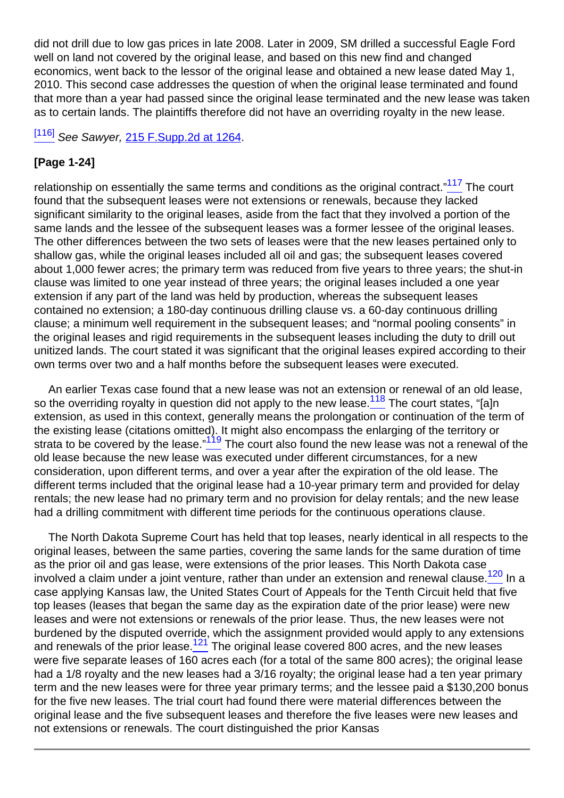did not drill due to low gas prices in late 2008. Later in 2009, SM drilled a successful Eagle Ford well on land not covered by the original lease, and based on this new find and changed economics, went back to the lessor of the original lease and obtained a new lease dated May 1, 2010. This second case addresses the question of when the original lease terminated and found that more than a year had passed since the original lease terminated and the new lease was taken as to certain lands. The plaintiffs therefore did not have an overriding royalty in the new lease.

[\[116\]](#page-24-4) See Sawyer, 215 F. Supp. 2d at 1264.

#### **[Page 1-24]**

<span id="page-25-0"></span>relationship on essentially the same terms and conditions as the original contract."<sup>117</sup> The court found that the subsequent leases were not extensions or renewals, because they lacked significant similarity to the original leases, aside from the fact that they involved a portion of the same lands and the lessee of the subsequent leases was a former lessee of the original leases. The other differences between the two sets of leases were that the new leases pertained only to shallow gas, while the original leases included all oil and gas; the subsequent leases covered about 1,000 fewer acres; the primary term was reduced from five years to three years; the shut-in clause was limited to one year instead of three years; the original leases included a one year extension if any part of the land was held by production, whereas the subsequent leases contained no extension; a 180-day continuous drilling clause vs. a 60-day continuous drilling clause; a minimum well requirement in the subsequent leases; and "normal pooling consents" in the original leases and rigid requirements in the subsequent leases including the duty to drill out unitized lands. The court stated it was significant that the original leases expired according to their own terms over two and a half months before the subsequent leases were executed.

<span id="page-25-2"></span><span id="page-25-1"></span>An earlier Texas case found that a new lease was not an extension or renewal of an old lease, so the overriding royalty in question did not apply to the new lease.<sup>118</sup> The court states, "[a]n extension, as used in this context, generally means the prolongation or continuation of the term of the existing lease (citations omitted). It might also encompass the enlarging of the territory or strata to be covered by the lease."<sup>119</sup> The court also found the new lease was not a renewal of the old lease because the new lease was executed under different circumstances, for a new consideration, upon different terms, and over a year after the expiration of the old lease. The different terms included that the original lease had a 10-year primary term and provided for delay rentals; the new lease had no primary term and no provision for delay rentals; and the new lease had a drilling commitment with different time periods for the continuous operations clause.

<span id="page-25-4"></span><span id="page-25-3"></span>The North Dakota Supreme Court has held that top leases, nearly identical in all respects to the original leases, between the same parties, covering the same lands for the same duration of time as the prior oil and gas lease, were extensions of the prior leases. This North Dakota case involved a claim under a joint venture, rather than under an extension and renewal clause. $\frac{120}{2}$  In a case applying Kansas law, the United States Court of Appeals for the Tenth Circuit held that five top leases (leases that began the same day as the expiration date of the prior lease) were new leases and were not extensions or renewals of the prior lease. Thus, the new leases were not burdened by the disputed override, which the assignment provided would apply to any extensions and renewals of the prior lease.<sup>121</sup> The original lease covered 800 acres, and the new leases were five separate leases of 160 acres each (for a total of the same 800 acres); the original lease had a 1/8 royalty and the new leases had a 3/16 royalty; the original lease had a ten year primary term and the new leases were for three year primary terms; and the lessee paid a \$130,200 bonus for the five new leases. The trial court had found there were material differences between the original lease and the five subsequent leases and therefore the five leases were new leases and not extensions or renewals. The court distinguished the prior Kansas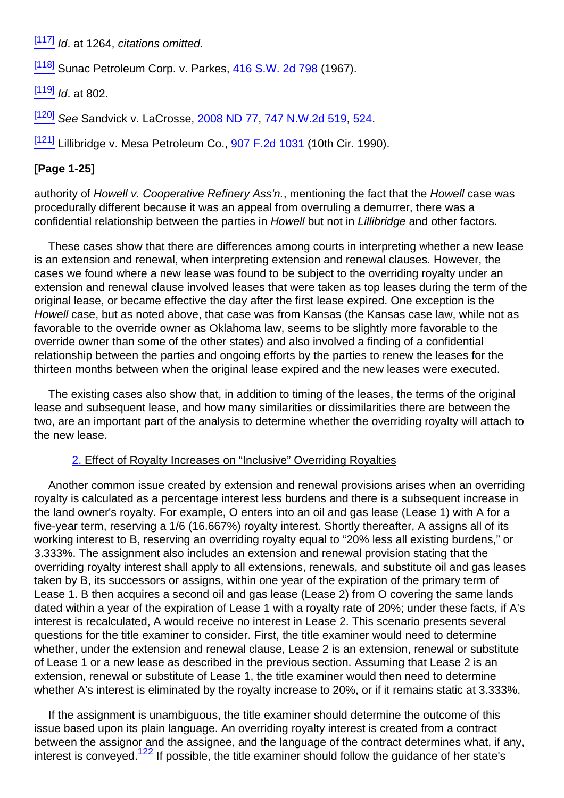$[117]$  Id. at 1264, citations omitted.

[\[118\]](#page-25-1) Sunac Petroleum Corp. v. Parkes, [416 S.W. 2d 798](http://links.casemakerlegal.com/books/Case_Law/results?ci=45ampsearch[Cite]=416+S.W.+2d+798ampfn=2014%20Jan%20(Advanced%20Mineral%20Title%20Examination)) (1967).

 $[119]$  *Id.* at 802.

 $\frac{[120]}{[120]}$  $\frac{[120]}{[120]}$  $\frac{[120]}{[120]}$  See Sandvick v. LaCrosse, [2008 ND 77](http://links.casemakerlegal.com/books/Case_Law/results?ci=45ampsearch[Cite]=2008+ND+77ampfn=2014%20Jan%20(Advanced%20Mineral%20Title%20Examination)), [747 N.W.2d 519,](http://links.casemakerlegal.com/books/Case_Law/results?ci=45ampsearch[Cite]=747+N.W.2d+519ampfn=2014%20Jan%20(Advanced%20Mineral%20Title%20Examination)) [524.](http://links.casemakerlegal.com/books/Case_Law/results?ci=45ampsearch[Cite]=747+N.W.2d+524#page524ampfn=2014%20Jan%20(Advanced%20Mineral%20Title%20Examination))

 $[121]$  Lillibridge v. Mesa Petroleum Co.,  $907$  F.2d 1031 (10th Cir. 1990).

#### **[Page 1-25]**

authority of Howell v. Cooperative Refinery Ass'n., mentioning the fact that the Howell case was procedurally different because it was an appeal from overruling a demurrer, there was a confidential relationship between the parties in Howell but not in Lillibridge and other factors.

These cases show that there are differences among courts in interpreting whether a new lease is an extension and renewal, when interpreting extension and renewal clauses. However, the cases we found where a new lease was found to be subject to the overriding royalty under an extension and renewal clause involved leases that were taken as top leases during the term of the original lease, or became effective the day after the first lease expired. One exception is the Howell case, but as noted above, that case was from Kansas (the Kansas case law, while not as favorable to the override owner as Oklahoma law, seems to be slightly more favorable to the override owner than some of the other states) and also involved a finding of a confidential relationship between the parties and ongoing efforts by the parties to renew the leases for the thirteen months between when the original lease expired and the new leases were executed.

The existing cases also show that, in addition to timing of the leases, the terms of the original lease and subsequent lease, and how many similarities or dissimilarities there are between the two, are an important part of the analysis to determine whether the overriding royalty will attach to the new lease.

#### 2. Effect of Royalty Increases on "Inclusive" Overriding Royalties

Another common issue created by extension and renewal provisions arises when an overriding royalty is calculated as a percentage interest less burdens and there is a subsequent increase in the land owner's royalty. For example, O enters into an oil and gas lease (Lease 1) with A for a five-year term, reserving a 1/6 (16.667%) royalty interest. Shortly thereafter, A assigns all of its working interest to B, reserving an overriding royalty equal to "20% less all existing burdens," or 3.333%. The assignment also includes an extension and renewal provision stating that the overriding royalty interest shall apply to all extensions, renewals, and substitute oil and gas leases taken by B, its successors or assigns, within one year of the expiration of the primary term of Lease 1. B then acquires a second oil and gas lease (Lease 2) from O covering the same lands dated within a year of the expiration of Lease 1 with a royalty rate of 20%; under these facts, if A's interest is recalculated, A would receive no interest in Lease 2. This scenario presents several questions for the title examiner to consider. First, the title examiner would need to determine whether, under the extension and renewal clause, Lease 2 is an extension, renewal or substitute of Lease 1 or a new lease as described in the previous section. Assuming that Lease 2 is an extension, renewal or substitute of Lease 1, the title examiner would then need to determine whether A's interest is eliminated by the royalty increase to 20%, or if it remains static at 3.333%.

<span id="page-26-0"></span>If the assignment is unambiguous, the title examiner should determine the outcome of this issue based upon its plain language. An overriding royalty interest is created from a contract between the assignor and the assignee, and the language of the contract determines what, if any, interest is conveyed.<sup>122</sup> If possible, the title examiner should follow the guidance of her state's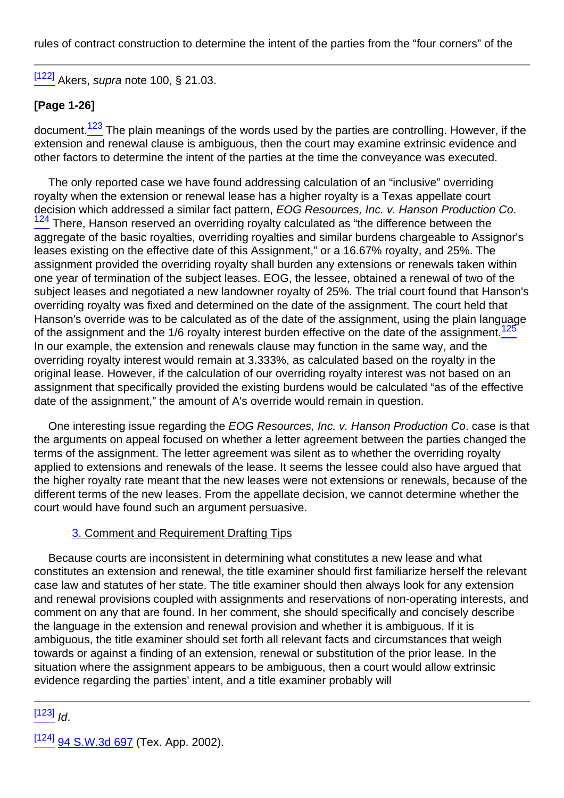rules of contract construction to determine the intent of the parties from the "four corners" of the

[\[122\]](#page-26-0) Akers, *supra* note 100, § 21.03.

### **[Page 1-26]**

<span id="page-27-0"></span>document.<sup>123</sup> The plain meanings of the words used by the parties are controlling. However, if the extension and renewal clause is ambiguous, then the court may examine extrinsic evidence and other factors to determine the intent of the parties at the time the conveyance was executed.

<span id="page-27-1"></span>The only reported case we have found addressing calculation of an "inclusive" overriding royalty when the extension or renewal lease has a higher royalty is a Texas appellate court decision which addressed a similar fact pattern, EOG Resources, Inc. v. Hanson Production Co.  $124$  There, Hanson reserved an overriding royalty calculated as "the difference between the aggregate of the basic royalties, overriding royalties and similar burdens chargeable to Assignor's leases existing on the effective date of this Assignment," or a 16.67% royalty, and 25%. The assignment provided the overriding royalty shall burden any extensions or renewals taken within one year of termination of the subject leases. EOG, the lessee, obtained a renewal of two of the subject leases and negotiated a new landowner royalty of 25%. The trial court found that Hanson's overriding royalty was fixed and determined on the date of the assignment. The court held that Hanson's override was to be calculated as of the date of the assignment, using the plain language of the assignment and the 1/6 royalty interest burden effective on the date of the assignment.<sup>12</sup> In our example, the extension and renewals clause may function in the same way, and the overriding royalty interest would remain at 3.333%, as calculated based on the royalty in the original lease. However, if the calculation of our overriding royalty interest was not based on an assignment that specifically provided the existing burdens would be calculated "as of the effective date of the assignment," the amount of A's override would remain in question.

<span id="page-27-2"></span>One interesting issue regarding the EOG Resources, Inc. v. Hanson Production Co. case is that the arguments on appeal focused on whether a letter agreement between the parties changed the terms of the assignment. The letter agreement was silent as to whether the overriding royalty applied to extensions and renewals of the lease. It seems the lessee could also have argued that the higher royalty rate meant that the new leases were not extensions or renewals, because of the different terms of the new leases. From the appellate decision, we cannot determine whether the court would have found such an argument persuasive.

#### 3. Comment and Requirement Drafting Tips

Because courts are inconsistent in determining what constitutes a new lease and what constitutes an extension and renewal, the title examiner should first familiarize herself the relevant case law and statutes of her state. The title examiner should then always look for any extension and renewal provisions coupled with assignments and reservations of non-operating interests, and comment on any that are found. In her comment, she should specifically and concisely describe the language in the extension and renewal provision and whether it is ambiguous. If it is ambiguous, the title examiner should set forth all relevant facts and circumstances that weigh towards or against a finding of an extension, renewal or substitution of the prior lease. In the situation where the assignment appears to be ambiguous, then a court would allow extrinsic evidence regarding the parties' intent, and a title examiner probably will

 $[123]$   $Id.$ 

 $[124]$  [94 S.W.3d 697](http://links.casemakerlegal.com/books/Case_Law/results?ci=45ampsearch[Cite]=94+S.W.3d+697ampfn=2014%20Jan%20(Advanced%20Mineral%20Title%20Examination)) (Tex. App. 2002).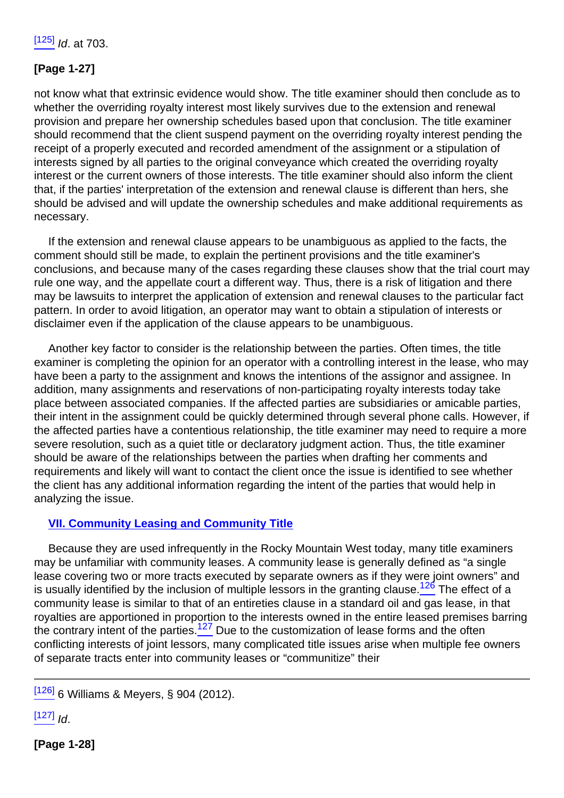# **[Page 1-27]**

not know what that extrinsic evidence would show. The title examiner should then conclude as to whether the overriding royalty interest most likely survives due to the extension and renewal provision and prepare her ownership schedules based upon that conclusion. The title examiner should recommend that the client suspend payment on the overriding royalty interest pending the receipt of a properly executed and recorded amendment of the assignment or a stipulation of interests signed by all parties to the original conveyance which created the overriding royalty interest or the current owners of those interests. The title examiner should also inform the client that, if the parties' interpretation of the extension and renewal clause is different than hers, she should be advised and will update the ownership schedules and make additional requirements as necessary.

If the extension and renewal clause appears to be unambiguous as applied to the facts, the comment should still be made, to explain the pertinent provisions and the title examiner's conclusions, and because many of the cases regarding these clauses show that the trial court may rule one way, and the appellate court a different way. Thus, there is a risk of litigation and there may be lawsuits to interpret the application of extension and renewal clauses to the particular fact pattern. In order to avoid litigation, an operator may want to obtain a stipulation of interests or disclaimer even if the application of the clause appears to be unambiguous.

Another key factor to consider is the relationship between the parties. Often times, the title examiner is completing the opinion for an operator with a controlling interest in the lease, who may have been a party to the assignment and knows the intentions of the assignor and assignee. In addition, many assignments and reservations of non-participating royalty interests today take place between associated companies. If the affected parties are subsidiaries or amicable parties, their intent in the assignment could be quickly determined through several phone calls. However, if the affected parties have a contentious relationship, the title examiner may need to require a more severe resolution, such as a quiet title or declaratory judgment action. Thus, the title examiner should be aware of the relationships between the parties when drafting her comments and requirements and likely will want to contact the client once the issue is identified to see whether the client has any additional information regarding the intent of the parties that would help in analyzing the issue.

#### **VII. Community Leasing and Community Title**

<span id="page-28-1"></span><span id="page-28-0"></span>Because they are used infrequently in the Rocky Mountain West today, many title examiners may be unfamiliar with community leases. A community lease is generally defined as "a single lease covering two or more tracts executed by separate owners as if they were joint owners" and is usually identified by the inclusion of multiple lessors in the granting clause.<sup>126</sup> The effect of a community lease is similar to that of an entireties clause in a standard oil and gas lease, in that royalties are apportioned in proportion to the interests owned in the entire leased premises barring the contrary intent of the parties.<sup>127</sup> Due to the customization of lease forms and the often conflicting interests of joint lessors, many complicated title issues arise when multiple fee owners of separate tracts enter into community leases or "communitize" their

 $[127]$  Id.

**[Page 1-28]**

 $[126]$  6 Williams & Meyers, § 904 (2012).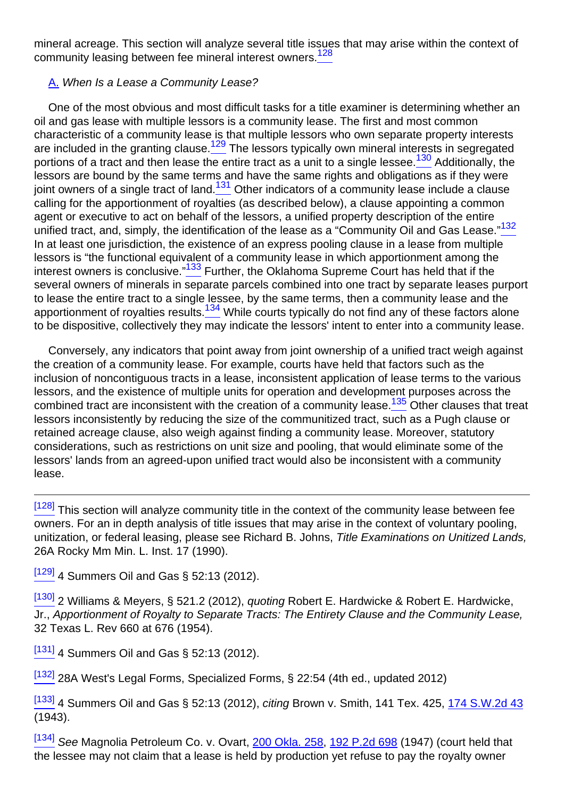<span id="page-29-0"></span>mineral acreage. This section will analyze several title issues that may arise within the context of community leasing between fee mineral interest owners.<sup>128</sup>

#### A. When Is a Lease a Community Lease?

<span id="page-29-4"></span><span id="page-29-3"></span><span id="page-29-2"></span><span id="page-29-1"></span>One of the most obvious and most difficult tasks for a title examiner is determining whether an oil and gas lease with multiple lessors is a community lease. The first and most common characteristic of a community lease is that multiple lessors who own separate property interests are included in the granting clause.<sup>129</sup> The lessors typically own mineral interests in segregated portions of a tract and then lease the entire tract as a unit to a single lessee.<sup>130</sup> Additionally, the lessors are bound by the same terms and have the same rights and obligations as if they were joint owners of a single tract of land.<sup>131</sup> Other indicators of a community lease include a clause calling for the apportionment of royalties (as described below), a clause appointing a common agent or executive to act on behalf of the lessors, a unified property description of the entire unified tract, and, simply, the identification of the lease as a "Community Oil and Gas Lease."<sup>132</sup> In at least one jurisdiction, the existence of an express pooling clause in a lease from multiple lessors is "the functional equivalent of a community lease in which apportionment among the interest owners is conclusive." $133$  Further, the Oklahoma Supreme Court has held that if the several owners of minerals in separate parcels combined into one tract by separate leases purport to lease the entire tract to a single lessee, by the same terms, then a community lease and the apportionment of royalties results. $\frac{134}{2}$  While courts typically do not find any of these factors alone to be dispositive, collectively they may indicate the lessors' intent to enter into a community lease.

<span id="page-29-7"></span><span id="page-29-6"></span><span id="page-29-5"></span>Conversely, any indicators that point away from joint ownership of a unified tract weigh against the creation of a community lease. For example, courts have held that factors such as the inclusion of noncontiguous tracts in a lease, inconsistent application of lease terms to the various lessors, and the existence of multiple units for operation and development purposes across the combined tract are inconsistent with the creation of a community lease.<sup>135</sup> Other clauses that treat lessors inconsistently by reducing the size of the communitized tract, such as a Pugh clause or retained acreage clause, also weigh against finding a community lease. Moreover, statutory considerations, such as restrictions on unit size and pooling, that would eliminate some of the lessors' lands from an agreed-upon unified tract would also be inconsistent with a community lease.

<sup>[\[128\]](#page-29-0)</sup> This section will analyze community title in the context of the community lease between fee owners. For an in depth analysis of title issues that may arise in the context of voluntary pooling, unitization, or federal leasing, please see Richard B. Johns, Title Examinations on Unitized Lands, 26A Rocky Mm Min. L. Inst. 17 (1990).

 $[129]$  4 Summers Oil and Gas § 52:13 (2012).

<sup>[\[130\]](#page-29-2)</sup> 2 Williams & Meyers, § 521.2 (2012), *quoting* Robert E. Hardwicke & Robert E. Hardwicke, Jr., Apportionment of Royalty to Separate Tracts: The Entirety Clause and the Community Lease, 32 Texas L. Rev 660 at 676 (1954).

 $\frac{[131]}{[131]}$  $\frac{[131]}{[131]}$  $\frac{[131]}{[131]}$  4 Summers Oil and Gas § 52:13 (2012).

<sup>[\[132\]](#page-29-4)</sup> 28A West's Legal Forms, Specialized Forms, § 22:54 (4th ed., updated 2012)

[\[133\]](#page-29-5) 4 Summers Oil and Gas § 52:13 (2012), citing Brown v. Smith, 141 Tex. 425, [174 S.W.2d 43](http://links.casemakerlegal.com/books/Case_Law/results?ci=45ampsearch[Cite]=174+S.W.2d+43ampfn=2014%20Jan%20(Advanced%20Mineral%20Title%20Examination)) (1943).

[\[134\]](#page-29-6) See Magnolia Petroleum Co. v. Ovart, [200 Okla. 258](http://links.casemakerlegal.com/books/Case_Law/results?ci=45ampsearch[Cite]=200+Okla.+258ampfn=2014%20Jan%20(Advanced%20Mineral%20Title%20Examination)), [192 P.2d 698](http://links.casemakerlegal.com/books/Case_Law/results?ci=45ampsearch[Cite]=192+P.2d+698ampfn=2014%20Jan%20(Advanced%20Mineral%20Title%20Examination)) (1947) (court held that the lessee may not claim that a lease is held by production yet refuse to pay the royalty owner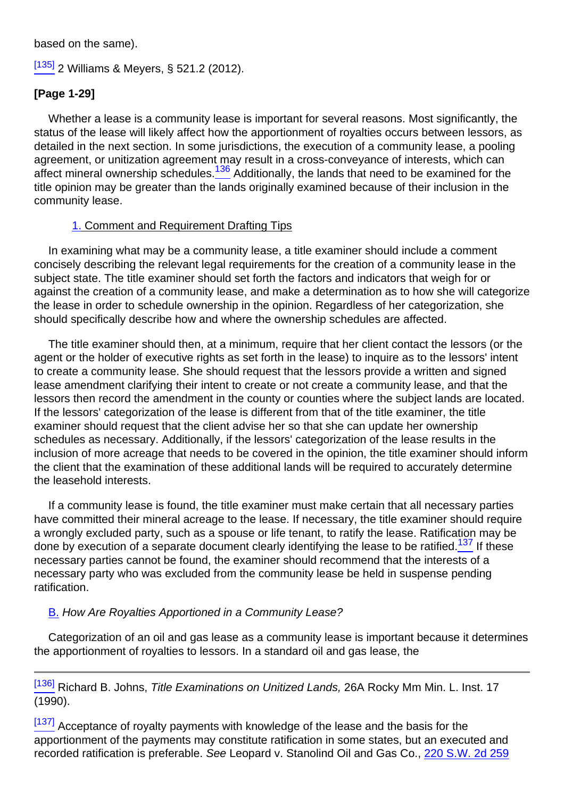based on the same).

# [\[135\]](#page-29-7) 2 Williams & Meyers, § 521.2 (2012).

#### **[Page 1-29]**

<span id="page-30-0"></span>Whether a lease is a community lease is important for several reasons. Most significantly, the status of the lease will likely affect how the apportionment of royalties occurs between lessors, as detailed in the next section. In some jurisdictions, the execution of a community lease, a pooling agreement, or unitization agreement may result in a cross-conveyance of interests, which can affect mineral ownership schedules.<sup>136</sup> Additionally, the lands that need to be examined for the title opinion may be greater than the lands originally examined because of their inclusion in the community lease.

#### 1. Comment and Requirement Drafting Tips

In examining what may be a community lease, a title examiner should include a comment concisely describing the relevant legal requirements for the creation of a community lease in the subject state. The title examiner should set forth the factors and indicators that weigh for or against the creation of a community lease, and make a determination as to how she will categorize the lease in order to schedule ownership in the opinion. Regardless of her categorization, she should specifically describe how and where the ownership schedules are affected.

The title examiner should then, at a minimum, require that her client contact the lessors (or the agent or the holder of executive rights as set forth in the lease) to inquire as to the lessors' intent to create a community lease. She should request that the lessors provide a written and signed lease amendment clarifying their intent to create or not create a community lease, and that the lessors then record the amendment in the county or counties where the subject lands are located. If the lessors' categorization of the lease is different from that of the title examiner, the title examiner should request that the client advise her so that she can update her ownership schedules as necessary. Additionally, if the lessors' categorization of the lease results in the inclusion of more acreage that needs to be covered in the opinion, the title examiner should inform the client that the examination of these additional lands will be required to accurately determine the leasehold interests.

<span id="page-30-1"></span>If a community lease is found, the title examiner must make certain that all necessary parties have committed their mineral acreage to the lease. If necessary, the title examiner should require a wrongly excluded party, such as a spouse or life tenant, to ratify the lease. Ratification may be done by execution of a separate document clearly identifying the lease to be ratified.<sup>137</sup> If these necessary parties cannot be found, the examiner should recommend that the interests of a necessary party who was excluded from the community lease be held in suspense pending ratification.

#### B. How Are Royalties Apportioned in a Community Lease?

Categorization of an oil and gas lease as a community lease is important because it determines the apportionment of royalties to lessors. In a standard oil and gas lease, the

[\[136\]](#page-30-0) Richard B. Johns, Title Examinations on Unitized Lands, 26A Rocky Mm Min. L. Inst. 17 (1990).

 $\frac{[137]}{[137]}$  $\frac{[137]}{[137]}$  $\frac{[137]}{[137]}$  Acceptance of royalty payments with knowledge of the lease and the basis for the apportionment of the payments may constitute ratification in some states, but an executed and recorded ratification is preferable. See Leopard v. Stanolind Oil and Gas Co., [220 S.W. 2d 259](http://links.casemakerlegal.com/books/Case_Law/results?ci=45ampsearch[Cite]=220+S.W.+2d+259ampfn=2014%20Jan%20(Advanced%20Mineral%20Title%20Examination))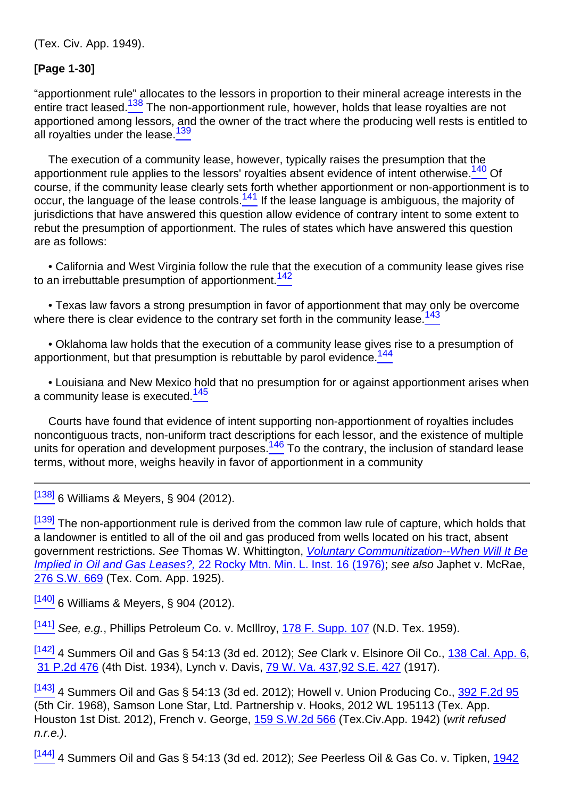(Tex. Civ. App. 1949).

### **[Page 1-30]**

<span id="page-31-1"></span><span id="page-31-0"></span>"apportionment rule" allocates to the lessors in proportion to their mineral acreage interests in the entire tract leased.<sup>138</sup> The non-apportionment rule, however, holds that lease royalties are not apportioned among lessors, and the owner of the tract where the producing well rests is entitled to all royalties under the lease.<sup>139</sup>

<span id="page-31-3"></span><span id="page-31-2"></span>The execution of a community lease, however, typically raises the presumption that the apportionment rule applies to the lessors' royalties absent evidence of intent otherwise.<sup>140</sup> Of course, if the community lease clearly sets forth whether apportionment or non-apportionment is to occur, the language of the lease controls.<sup>141</sup> If the lease language is ambiguous, the majority of jurisdictions that have answered this question allow evidence of contrary intent to some extent to rebut the presumption of apportionment. The rules of states which have answered this question are as follows:

<span id="page-31-4"></span>• California and West Virginia follow the rule that the execution of a community lease gives rise to an irrebuttable presumption of apportionment.<sup>142</sup>

<span id="page-31-5"></span>• Texas law favors a strong presumption in favor of apportionment that may only be overcome where there is clear evidence to the contrary set forth in the community lease.<sup>143</sup>

<span id="page-31-6"></span>• Oklahoma law holds that the execution of a community lease gives rise to a presumption of apportionment, but that presumption is rebuttable by parol evidence.<sup>144</sup>

<span id="page-31-7"></span>• Louisiana and New Mexico hold that no presumption for or against apportionment arises when a community lease is executed.<sup>145</sup>

<span id="page-31-8"></span>Courts have found that evidence of intent supporting non-apportionment of royalties includes noncontiguous tracts, non-uniform tract descriptions for each lessor, and the existence of multiple units for operation and development purposes.<sup>146</sup> To the contrary, the inclusion of standard lease terms, without more, weighs heavily in favor of apportionment in a community

[\[138\]](#page-31-0) 6 Williams & Meyers, § 904 (2012).

<sup>[\[139\]](#page-31-1)</sup> The non-apportionment rule is derived from the common law rule of capture, which holds that a landowner is entitled to all of the oil and gas produced from wells located on his tract, absent government restrictions. See Thomas W. Whittington, Voluntary Communitization--When Will It Be Implied in Oil and Gas Leases?[,](http://rmmlf.casemakerlibra.com/home/libra_2_rmmlf.aspx?doc=d:/data/RMMLF/Samples/22%20Rocky%20Mt.%20Min.%20L.%20Inst.%20(1976)/Chapter%202%20PERPETUITIES.htmampcurdoc=4ampp=12224#page16) [22 Rocky Mtn. Min. L. Inst. 16 \(1976\)](http://rmmlf.casemakerlibra.com/home/libra_2_rmmlf.aspx?doc=d:/data/RMMLF/Samples/22%20Rocky%20Mt.%20Min.%20L.%20Inst.%20(1976)/Chapter%202%20PERPETUITIES.htmampcurdoc=4ampp=12224#page16); see also Japhet v. McRae, [276 S.W. 669](http://links.casemakerlegal.com/books/Case_Law/results?ci=45ampsearch[Cite]=276+S.W.+669ampfn=2014%20Jan%20(Advanced%20Mineral%20Title%20Examination)) (Tex. Com. App. 1925).

[\[140\]](#page-31-2) 6 Williams & Meyers, § 904 (2012).

 $[141]$  See, e.g., Phillips Petroleum Co. v. McIllroy, [178 F. Supp. 107](http://links.casemakerlegal.com/books/Case_Law/results?ci=45ampsearch[Cite]=178+F.SUPP.+107ampfn=2014%20Jan%20(Advanced%20Mineral%20Title%20Examination)) (N.D. Tex. 1959).

 $^{[142]}$  $^{[142]}$  $^{[142]}$  4 Summers Oil and Gas § 54:13 (3d ed. 2012); See Clark v. Elsinore Oil Co., [138 Cal. App. 6](http://links.casemakerlegal.com/books/Case_Law/results?ci=45ampsearch[Cite]=138+Cal.+App.+6ampfn=2014%20Jan%20(Advanced%20Mineral%20Title%20Examination)), [31 P.2d 476](http://links.casemakerlegal.com/books/Case_Law/results?ci=45ampsearch[Cite]=31+P.2d+476ampfn=2014%20Jan%20(Advanced%20Mineral%20Title%20Examination)) (4th Dist. 1934), Lynch v. Davis, [79 W. Va. 437,](http://links.casemakerlegal.com/books/Case_Law/results?ci=45ampsearch[Cite]=79+W.+Va.+437ampfn=2014%20Jan%20(Advanced%20Mineral%20Title%20Examination))[92 S.E. 427](http://links.casemakerlegal.com/books/Case_Law/results?ci=45ampsearch[Cite]=92+S.E.+427ampfn=2014%20Jan%20(Advanced%20Mineral%20Title%20Examination)) (1917).

[\[143\]](#page-31-5) 4 Summers Oil and Gas § 54:13 (3d ed. 2012); Howell v. Union Producing Co., [392 F.2d 95](http://links.casemakerlegal.com/books/Case_Law/results?ci=45ampsearch[Cite]=392+F.2d+95ampfn=2014%20Jan%20(Advanced%20Mineral%20Title%20Examination)) (5th Cir. 1968), Samson Lone Star, Ltd. Partnership v. Hooks, 2012 WL 195113 (Tex. App. Houston 1st Dist. 2012), French v. George, [159 S.W.2d 566](http://links.casemakerlegal.com/books/Case_Law/results?ci=45ampsearch[Cite]=159+S.W.2d+566ampfn=2014%20Jan%20(Advanced%20Mineral%20Title%20Examination)) (Tex.Civ.App. 1942) (writ refused n.r.e.).

[\[144\]](#page-31-6) 4 Summers Oil and Gas § 54:13 (3d ed. 2012); See Peerless Oil & Gas Co. v. Tipken, [1942](http://links.casemakerlegal.com/books/Case_Law/results?ci=45ampsearch[Cite]=1942+OK+140ampfn=2014%20Jan%20(Advanced%20Mineral%20Title%20Examination))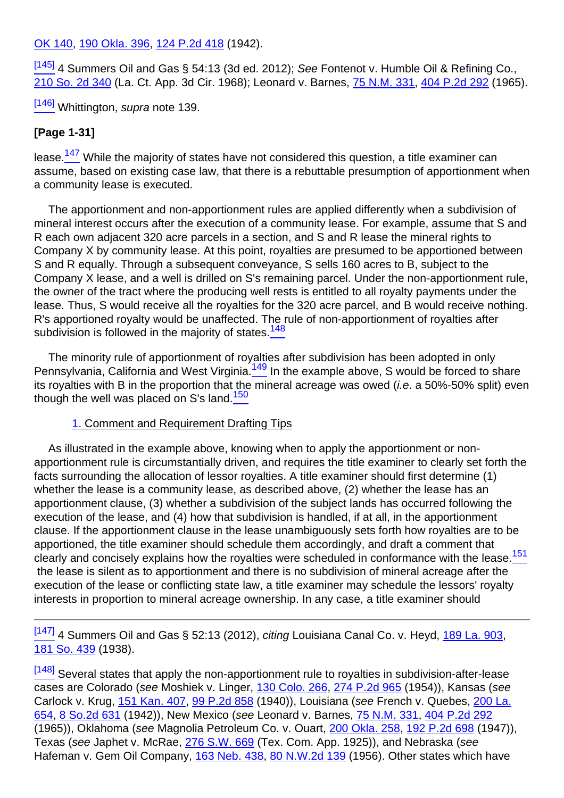[OK 140,](http://links.casemakerlegal.com/books/Case_Law/results?ci=45ampsearch[Cite]=1942+OK+140ampfn=2014%20Jan%20(Advanced%20Mineral%20Title%20Examination)) [190 Okla. 396](http://links.casemakerlegal.com/books/Case_Law/results?ci=45ampsearch[Cite]=190+Okla.+396ampfn=2014%20Jan%20(Advanced%20Mineral%20Title%20Examination)), [124 P.2d 418](http://links.casemakerlegal.com/books/Case_Law/results?ci=45ampsearch[Cite]=124+P.2d+418ampfn=2014%20Jan%20(Advanced%20Mineral%20Title%20Examination)) (1942).

 $^{[145]}$  $^{[145]}$  $^{[145]}$  4 Summers Oil and Gas § 54:13 (3d ed. 2012): See Fontenot v. Humble Oil & Refining Co., [210 So. 2d 340](http://links.casemakerlegal.com/books/Case_Law/results?ci=45ampsearch[Cite]=210+So.+2d+340ampfn=2014%20Jan%20(Advanced%20Mineral%20Title%20Examination)) (La. Ct. App. 3d Cir. 1968); Leonard v. Barnes, [75 N.M. 331,](http://links.casemakerlegal.com/books/Case_Law/results?ci=45ampsearch[Cite]=75+N.M.+331ampfn=2014%20Jan%20(Advanced%20Mineral%20Title%20Examination)) [404 P.2d 292](http://links.casemakerlegal.com/books/Case_Law/results?ci=45ampsearch[Cite]=404+P.2d+292ampfn=2014%20Jan%20(Advanced%20Mineral%20Title%20Examination)) (1965).

 $\frac{[146]}{]}$  $\frac{[146]}{]}$  $\frac{[146]}{]}$  Whittington, supra note 139.

# **[Page 1-31]**

<span id="page-32-0"></span>lease. $147 \text{ }$  While the majority of states have not considered this question, a title examiner can assume, based on existing case law, that there is a rebuttable presumption of apportionment when a community lease is executed.

The apportionment and non-apportionment rules are applied differently when a subdivision of mineral interest occurs after the execution of a community lease. For example, assume that S and R each own adjacent 320 acre parcels in a section, and S and R lease the mineral rights to Company X by community lease. At this point, royalties are presumed to be apportioned between S and R equally. Through a subsequent conveyance, S sells 160 acres to B, subject to the Company X lease, and a well is drilled on S's remaining parcel. Under the non-apportionment rule, the owner of the tract where the producing well rests is entitled to all royalty payments under the lease. Thus, S would receive all the royalties for the 320 acre parcel, and B would receive nothing. R's apportioned royalty would be unaffected. The rule of non-apportionment of royalties after subdivision is followed in the majority of states.<sup>148</sup>

<span id="page-32-3"></span><span id="page-32-2"></span><span id="page-32-1"></span>The minority rule of apportionment of royalties after subdivision has been adopted in only Pennsylvania, California and West Virginia.<sup>149</sup> In the example above, S would be forced to share its royalties with B in the proportion that the mineral acreage was owed (*i.e.* a 50%-50% split) even though the well was placed on S's land.<sup>150</sup>

#### 1. Comment and Requirement Drafting Tips

As illustrated in the example above, knowing when to apply the apportionment or nonapportionment rule is circumstantially driven, and requires the title examiner to clearly set forth the facts surrounding the allocation of lessor royalties. A title examiner should first determine (1) whether the lease is a community lease, as described above, (2) whether the lease has an apportionment clause, (3) whether a subdivision of the subject lands has occurred following the execution of the lease, and (4) how that subdivision is handled, if at all, in the apportionment clause. If the apportionment clause in the lease unambiguously sets forth how royalties are to be apportioned, the title examiner should schedule them accordingly, and draft a comment that clearly and concisely explains how the royalties were scheduled in conformance with the lease.<sup>151</sup> the lease is silent as to apportionment and there is no subdivision of mineral acreage after the execution of the lease or conflicting state law, a title examiner may schedule the lessors' royalty interests in proportion to mineral acreage ownership. In any case, a title examiner should

<span id="page-32-4"></span> $\frac{[147]}{[147]}$  $\frac{[147]}{[147]}$  $\frac{[147]}{[147]}$  4 Summers Oil and Gas § 52:13 (2012), *citing* Louisiana Canal Co. v. Heyd, [189 La. 903,](http://links.casemakerlegal.com/books/Case_Law/results?ci=45ampsearch[Cite]=189+La.+903ampfn=2014%20Jan%20(Advanced%20Mineral%20Title%20Examination)) [181 So. 439](http://links.casemakerlegal.com/books/Case_Law/results?ci=45ampsearch[Cite]=181+So.+439ampfn=2014%20Jan%20(Advanced%20Mineral%20Title%20Examination)) (1938).

[\[148\]](#page-32-1) Several states that apply the non-apportionment rule to royalties in subdivision-after-lease cases are Colorado (see Moshiek v. Linger, [130 Colo. 266](http://links.casemakerlegal.com/books/Case_Law/results?ci=45ampsearch[Cite]=130+Colo.+266ampfn=2014%20Jan%20(Advanced%20Mineral%20Title%20Examination)), [274 P.2d 965](http://links.casemakerlegal.com/books/Case_Law/results?ci=45ampsearch[Cite]=274+P.2d+965ampfn=2014%20Jan%20(Advanced%20Mineral%20Title%20Examination)) (1954)), Kansas (see Carlock v. Krug, [151 Kan. 407](http://links.casemakerlegal.com/books/Case_Law/results?ci=45ampsearch[Cite]=151+Kan.+407ampfn=2014%20Jan%20(Advanced%20Mineral%20Title%20Examination)), [99 P.2d 858](http://links.casemakerlegal.com/books/Case_Law/results?ci=45ampsearch[Cite]=99+P.2d+858ampfn=2014%20Jan%20(Advanced%20Mineral%20Title%20Examination)) (1940)), Louisiana (see French v. Quebes, [200 La.](http://links.casemakerlegal.com/books/Case_Law/results?ci=45ampsearch[Cite]=200+La.+654ampfn=2014%20Jan%20(Advanced%20Mineral%20Title%20Examination)) [654](http://links.casemakerlegal.com/books/Case_Law/results?ci=45ampsearch[Cite]=200+La.+654ampfn=2014%20Jan%20(Advanced%20Mineral%20Title%20Examination)), [8 So.2d 631](http://links.casemakerlegal.com/books/Case_Law/results?ci=45ampsearch[Cite]=8+So.2d+631ampfn=2014%20Jan%20(Advanced%20Mineral%20Title%20Examination)) (1942)), New Mexico (see Leonard v. Barnes, [75 N.M. 331,](http://links.casemakerlegal.com/books/Case_Law/results?ci=45ampsearch[Cite]=75+N.M.+331ampfn=2014%20Jan%20(Advanced%20Mineral%20Title%20Examination)) [404 P.2d 292](http://links.casemakerlegal.com/books/Case_Law/results?ci=45ampsearch[Cite]=404+P.2d+292ampfn=2014%20Jan%20(Advanced%20Mineral%20Title%20Examination)) (1965)), Oklahoma (see Magnolia Petroleum Co. v. Ouart, [200 Okla. 258](http://links.casemakerlegal.com/books/Case_Law/results?ci=45ampsearch[Cite]=200+Okla.+258ampfn=2014%20Jan%20(Advanced%20Mineral%20Title%20Examination)), [192 P.2d 698](http://links.casemakerlegal.com/books/Case_Law/results?ci=45ampsearch[Cite]=192+P.2d+698ampfn=2014%20Jan%20(Advanced%20Mineral%20Title%20Examination)) (1947)), Texas (see Japhet v. McRae, [276 S.W. 669](http://links.casemakerlegal.com/books/Case_Law/results?ci=45ampsearch[Cite]=276+S.W.+669ampfn=2014%20Jan%20(Advanced%20Mineral%20Title%20Examination)) (Tex. Com. App. 1925)), and Nebraska (see Hafeman v. Gem Oil Company, [163 Neb. 438](http://links.casemakerlegal.com/books/Case_Law/results?ci=45ampsearch[Cite]=163+Neb.+438ampfn=2014%20Jan%20(Advanced%20Mineral%20Title%20Examination)), [80 N.W.2d 139](http://links.casemakerlegal.com/books/Case_Law/results?ci=45ampsearch[Cite]=80+N.W.2d+139ampfn=2014%20Jan%20(Advanced%20Mineral%20Title%20Examination)) (1956). Other states which have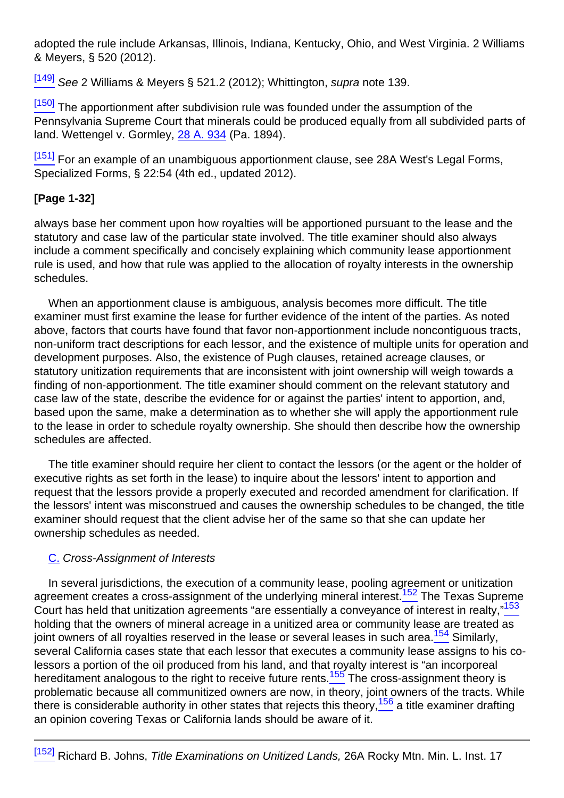adopted the rule include Arkansas, Illinois, Indiana, Kentucky, Ohio, and West Virginia. 2 Williams & Meyers, § 520 (2012).

[\[149\]](#page-32-2) See 2 Williams & Meyers § 521.2 (2012); Whittington, supra note 139.

<sup>[\[150\]](#page-32-3)</sup> The apportionment after subdivision rule was founded under the assumption of the Pennsylvania Supreme Court that minerals could be produced equally from all subdivided parts of land. Wettengel v. Gormley, [28 A. 934](http://links.casemakerlegal.com/books/Case_Law/results?ci=45ampsearch[Cite]=28+A.+934ampfn=2014%20Jan%20(Advanced%20Mineral%20Title%20Examination)) (Pa. 1894).

[\[151\]](#page-32-4) For an example of an unambiguous apportionment clause, see 28A West's Legal Forms, Specialized Forms, § 22:54 (4th ed., updated 2012).

# **[Page 1-32]**

always base her comment upon how royalties will be apportioned pursuant to the lease and the statutory and case law of the particular state involved. The title examiner should also always include a comment specifically and concisely explaining which community lease apportionment rule is used, and how that rule was applied to the allocation of royalty interests in the ownership schedules.

When an apportionment clause is ambiguous, analysis becomes more difficult. The title examiner must first examine the lease for further evidence of the intent of the parties. As noted above, factors that courts have found that favor non-apportionment include noncontiguous tracts, non-uniform tract descriptions for each lessor, and the existence of multiple units for operation and development purposes. Also, the existence of Pugh clauses, retained acreage clauses, or statutory unitization requirements that are inconsistent with joint ownership will weigh towards a finding of non-apportionment. The title examiner should comment on the relevant statutory and case law of the state, describe the evidence for or against the parties' intent to apportion, and, based upon the same, make a determination as to whether she will apply the apportionment rule to the lease in order to schedule royalty ownership. She should then describe how the ownership schedules are affected.

The title examiner should require her client to contact the lessors (or the agent or the holder of executive rights as set forth in the lease) to inquire about the lessors' intent to apportion and request that the lessors provide a properly executed and recorded amendment for clarification. If the lessors' intent was misconstrued and causes the ownership schedules to be changed, the title examiner should request that the client advise her of the same so that she can update her ownership schedules as needed.

# C. Cross-Assignment of Interests

<span id="page-33-4"></span><span id="page-33-3"></span><span id="page-33-2"></span><span id="page-33-1"></span><span id="page-33-0"></span>In several jurisdictions, the execution of a community lease, pooling agreement or unitization agreement creates a cross-assignment of the underlying mineral interest.<sup>152</sup> The Texas Supreme Court has held that unitization agreements "are essentially a conveyance of interest in realty,"<sup>153</sup> holding that the owners of mineral acreage in a unitized area or community lease are treated as joint owners of all royalties reserved in the lease or several leases in such area.<sup>154</sup> Similarly, several California cases state that each lessor that executes a community lease assigns to his colessors a portion of the oil produced from his land, and that royalty interest is "an incorporeal hereditament analogous to the right to receive future rents.<sup>155</sup> The cross-assignment theory is problematic because all communitized owners are now, in theory, joint owners of the tracts. While there is considerable authority in other states that rejects this theory,  $156$  a title examiner drafting an opinion covering Texas or California lands should be aware of it.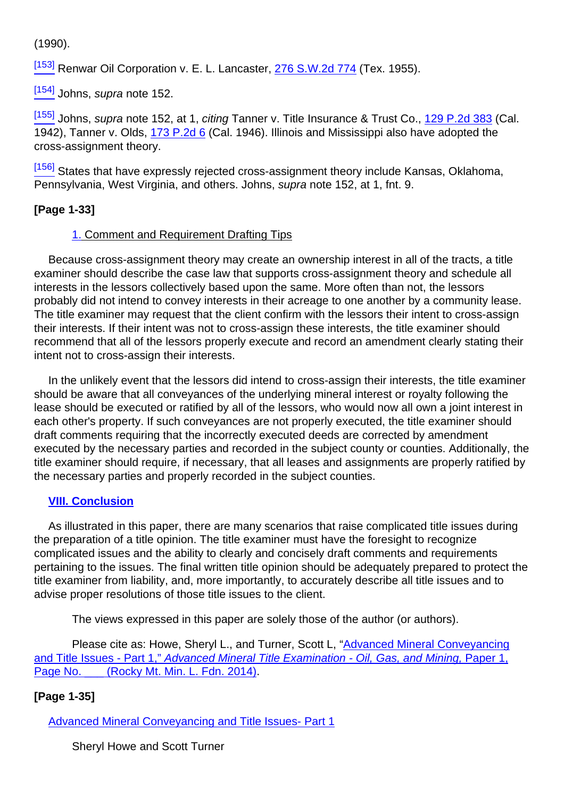(1990).

[\[153\]](#page-33-1) Renwar Oil Corporation v. E. L. Lancaster, [276 S.W.2d 774](http://links.casemakerlegal.com/books/Case_Law/results?ci=45ampsearch[Cite]=276+S.W.2d+774ampfn=2014%20Jan%20(Advanced%20Mineral%20Title%20Examination)) (Tex. 1955).

 $\underline{\left[154\right]}$  Johns, supra note 152.

 $\frac{[155]}{[155]}$  $\frac{[155]}{[155]}$  $\frac{[155]}{[155]}$  Johns, supra note 152, at 1, citing Tanner v. Title Insurance & Trust Co., [129 P.2d 383](http://links.casemakerlegal.com/books/Case_Law/results?ci=45ampsearch[Cite]=129+P.2d+383ampfn=2014%20Jan%20(Advanced%20Mineral%20Title%20Examination)) (Cal. 1942), Tanner v. Olds, [173 P.2d 6](http://links.casemakerlegal.com/books/Case_Law/results?ci=45ampsearch[Cite]=173+P.2d+6ampfn=2014%20Jan%20(Advanced%20Mineral%20Title%20Examination)) (Cal. 1946). Illinois and Mississippi also have adopted the cross-assignment theory.

[\[156\]](#page-33-4) States that have expressly rejected cross-assignment theory include Kansas, Oklahoma, Pennsylvania, West Virginia, and others. Johns, supra note 152, at 1, fnt. 9.

# **[Page 1-33]**

#### 1. Comment and Requirement Drafting Tips

Because cross-assignment theory may create an ownership interest in all of the tracts, a title examiner should describe the case law that supports cross-assignment theory and schedule all interests in the lessors collectively based upon the same. More often than not, the lessors probably did not intend to convey interests in their acreage to one another by a community lease. The title examiner may request that the client confirm with the lessors their intent to cross-assign their interests. If their intent was not to cross-assign these interests, the title examiner should recommend that all of the lessors properly execute and record an amendment clearly stating their intent not to cross-assign their interests.

In the unlikely event that the lessors did intend to cross-assign their interests, the title examiner should be aware that all conveyances of the underlying mineral interest or royalty following the lease should be executed or ratified by all of the lessors, who would now all own a joint interest in each other's property. If such conveyances are not properly executed, the title examiner should draft comments requiring that the incorrectly executed deeds are corrected by amendment executed by the necessary parties and recorded in the subject county or counties. Additionally, the title examiner should require, if necessary, that all leases and assignments are properly ratified by the necessary parties and properly recorded in the subject counties.

#### **VIII. Conclusion**

As illustrated in this paper, there are many scenarios that raise complicated title issues during the preparation of a title opinion. The title examiner must have the foresight to recognize complicated issues and the ability to clearly and concisely draft comments and requirements pertaining to the issues. The final written title opinion should be adequately prepared to protect the title examiner from liability, and, more importantly, to accurately describe all title issues and to advise proper resolutions of those title issues to the client.

The views expressed in this paper are solely those of the author (or authors).

Please cite as: Howe, Sheryl L., and Turner, Scott L, "Advanced Mineral Conveyancing and Title Issues - Part 1," Advanced Mineral Title Examination - Oil, Gas, and Mining, Paper 1, Page No. (Rocky Mt. Min. L. Fdn. 2014).

# **[Page 1-35]**

Advanced Mineral Conveyancing and Title Issues- Part 1

Sheryl Howe and Scott Turner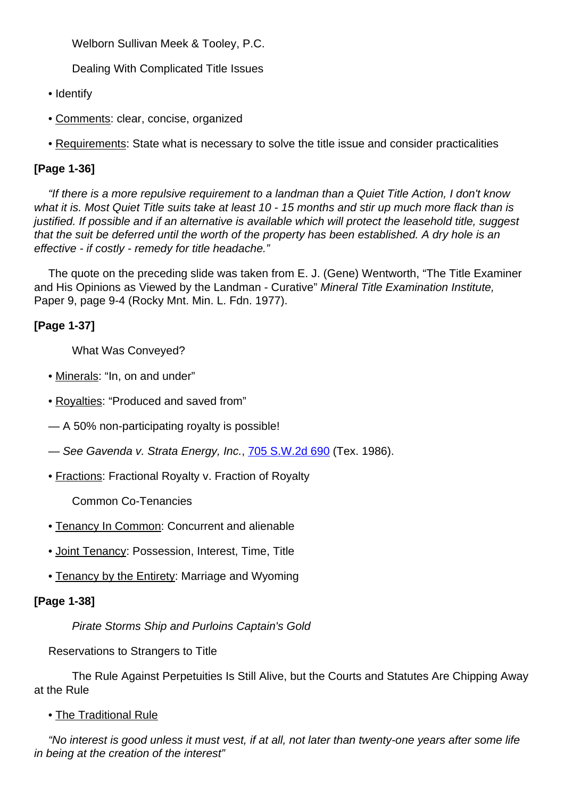Welborn Sullivan Meek & Tooley, P.C.

Dealing With Complicated Title Issues

- Identify
- Comments: clear, concise, organized
- Requirements: State what is necessary to solve the title issue and consider practicalities

# **[Page 1-36]**

"If there is a more repulsive requirement to a landman than a Quiet Title Action, I don't know what it is. Most Quiet Title suits take at least 10 - 15 months and stir up much more flack than is justified. If possible and if an alternative is available which will protect the leasehold title, suggest that the suit be deferred until the worth of the property has been established. A dry hole is an effective - if costly - remedy for title headache."

The quote on the preceding slide was taken from E. J. (Gene) Wentworth, "The Title Examiner and His Opinions as Viewed by the Landman - Curative" Mineral Title Examination Institute, Paper 9, page 9-4 (Rocky Mnt. Min. L. Fdn. 1977).

# **[Page 1-37]**

What Was Conveyed?

- Minerals: "In, on and under"
- Royalties: "Produced and saved from"

— A 50% non-participating royalty is possible!

- See Gavenda v. Strata Energy, Inc., [705 S.W.2d 690](http://links.casemakerlegal.com/books/Case_Law/results?ci=45ampsearch[Cite]=705+S.W.2d+690ampfn=2014%20Jan%20(Advanced%20Mineral%20Title%20Examination)) (Tex. 1986).
- Fractions: Fractional Royalty v. Fraction of Royalty

Common Co-Tenancies

- Tenancy In Common: Concurrent and alienable
- Joint Tenancy: Possession, Interest, Time, Title
- Tenancy by the Entirety: Marriage and Wyoming

#### **[Page 1-38]**

Pirate Storms Ship and Purloins Captain's Gold

Reservations to Strangers to Title

The Rule Against Perpetuities Is Still Alive, but the Courts and Statutes Are Chipping Away at the Rule

• The Traditional Rule

"No interest is good unless it must vest, if at all, not later than twenty-one years after some life in being at the creation of the interest"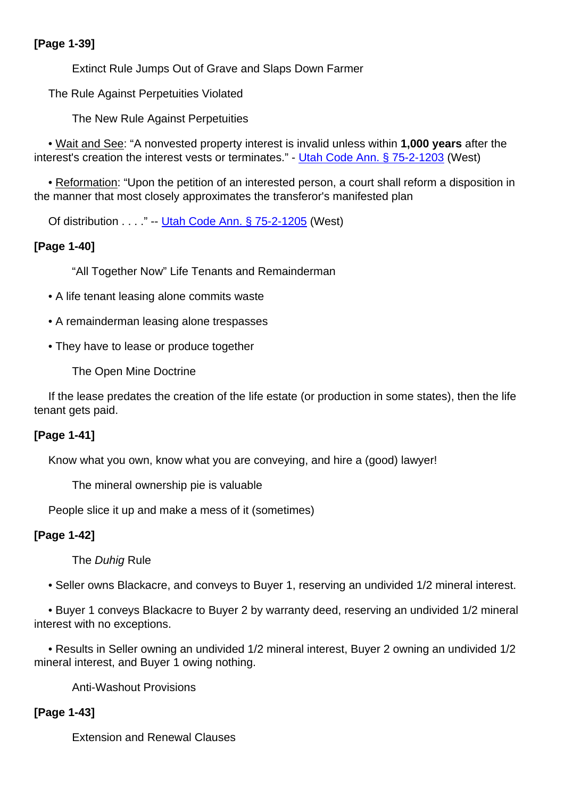# **[Page 1-39]**

Extinct Rule Jumps Out of Grave and Slaps Down Farmer

The Rule Against Perpetuities Violated

The New Rule Against Perpetuities

• Wait and See: "A nonvested property interest is invalid unless within **1,000 years** after the interest's creation the interest vests or terminates." - [Utah Code Ann. § 75-2-1203](http://links.casemakerlegal.com/states/UT/books/Code/browse?ci=45ampcodesec=75-2-1203ampTitle=75ampfn=2014%20Jan%20(Advanced%20Mineral%20Title%20Examination)) (West)

• Reformation: "Upon the petition of an interested person, a court shall reform a disposition in the manner that most closely approximates the transferor's manifested plan

Of distribution . . . ." -- [Utah Code Ann. § 75-2-1205](http://links.casemakerlegal.com/states/UT/books/Code/browse?ci=45ampcodesec=75-2-1205ampTitle=75ampfn=2014%20Jan%20(Advanced%20Mineral%20Title%20Examination)) (West)

# **[Page 1-40]**

"All Together Now" Life Tenants and Remainderman

- A life tenant leasing alone commits waste
- A remainderman leasing alone trespasses
- They have to lease or produce together

The Open Mine Doctrine

If the lease predates the creation of the life estate (or production in some states), then the life tenant gets paid.

# **[Page 1-41]**

Know what you own, know what you are conveying, and hire a (good) lawyer!

The mineral ownership pie is valuable

People slice it up and make a mess of it (sometimes)

# **[Page 1-42]**

The Duhig Rule

• Seller owns Blackacre, and conveys to Buyer 1, reserving an undivided 1/2 mineral interest.

• Buyer 1 conveys Blackacre to Buyer 2 by warranty deed, reserving an undivided 1/2 mineral interest with no exceptions.

• Results in Seller owning an undivided 1/2 mineral interest, Buyer 2 owning an undivided 1/2 mineral interest, and Buyer 1 owing nothing.

Anti-Washout Provisions

# **[Page 1-43]**

Extension and Renewal Clauses